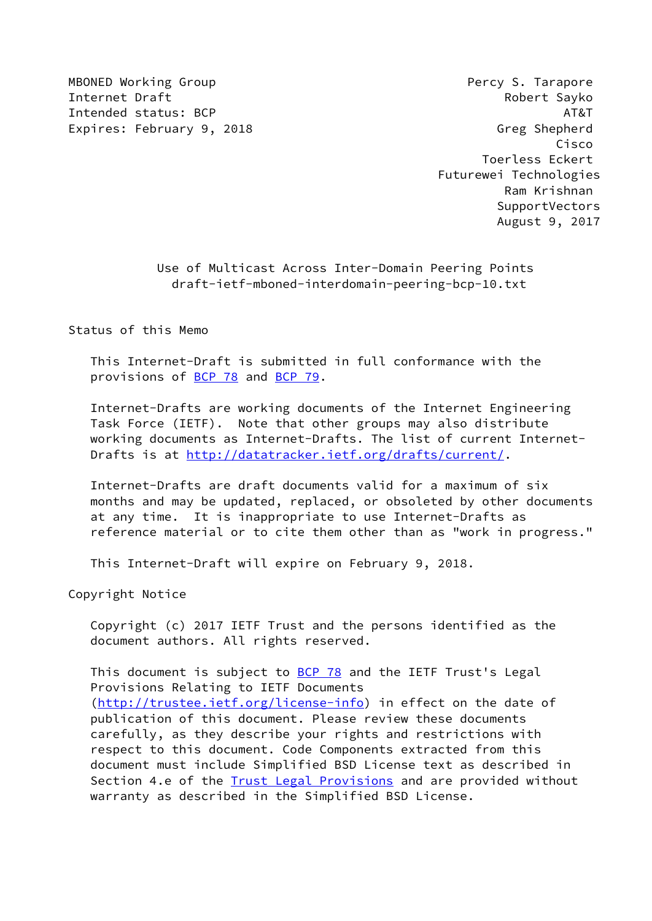MBONED Working Group **Percy S. Tarapore** Internet Draft **Robert Sayko** Intended status: BCP AT&T Expires: February 9, 2018 **Greek and School** Greg Shepherd

 Cisco Toerless Eckert Futurewei Technologies Ram Krishnan SupportVectors August 9, 2017

> Use of Multicast Across Inter-Domain Peering Points draft-ietf-mboned-interdomain-peering-bcp-10.txt

Status of this Memo

 This Internet-Draft is submitted in full conformance with the provisions of [BCP 78](https://datatracker.ietf.org/doc/pdf/bcp78) and [BCP 79](https://datatracker.ietf.org/doc/pdf/bcp79).

 Internet-Drafts are working documents of the Internet Engineering Task Force (IETF). Note that other groups may also distribute working documents as Internet-Drafts. The list of current Internet Drafts is at<http://datatracker.ietf.org/drafts/current/>.

 Internet-Drafts are draft documents valid for a maximum of six months and may be updated, replaced, or obsoleted by other documents at any time. It is inappropriate to use Internet-Drafts as reference material or to cite them other than as "work in progress."

This Internet-Draft will expire on February 9, 2018.

Copyright Notice

 Copyright (c) 2017 IETF Trust and the persons identified as the document authors. All rights reserved.

This document is subject to **[BCP 78](https://datatracker.ietf.org/doc/pdf/bcp78)** and the IETF Trust's Legal Provisions Relating to IETF Documents [\(http://trustee.ietf.org/license-info](http://trustee.ietf.org/license-info)) in effect on the date of publication of this document. Please review these documents carefully, as they describe your rights and restrictions with respect to this document. Code Components extracted from this document must include Simplified BSD License text as described in Section 4.e of the **[Trust Legal Provisions](https://trustee.ietf.org/license-info)** and are provided without warranty as described in the Simplified BSD License.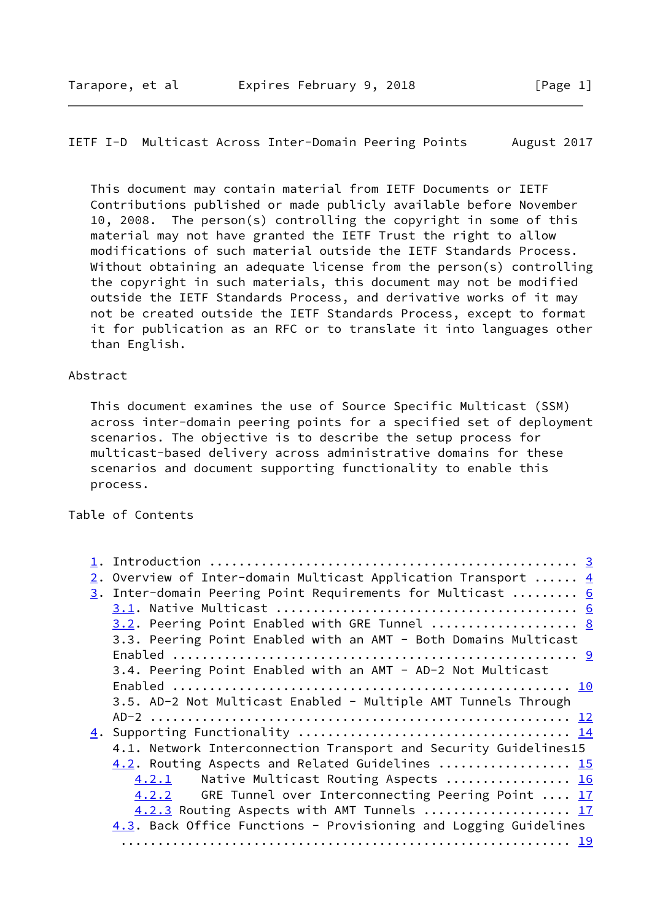# IETF I-D Multicast Across Inter-Domain Peering Points August 2017

 This document may contain material from IETF Documents or IETF Contributions published or made publicly available before November 10, 2008. The person(s) controlling the copyright in some of this material may not have granted the IETF Trust the right to allow modifications of such material outside the IETF Standards Process. Without obtaining an adequate license from the person(s) controlling the copyright in such materials, this document may not be modified outside the IETF Standards Process, and derivative works of it may not be created outside the IETF Standards Process, except to format it for publication as an RFC or to translate it into languages other than English.

#### Abstract

 This document examines the use of Source Specific Multicast (SSM) across inter-domain peering points for a specified set of deployment scenarios. The objective is to describe the setup process for multicast-based delivery across administrative domains for these scenarios and document supporting functionality to enable this process.

Table of Contents

| 2. Overview of Inter-domain Multicast Application Transport $4$  |  |
|------------------------------------------------------------------|--|
| 3. Inter-domain Peering Point Requirements for Multicast  6      |  |
|                                                                  |  |
| 3.2. Peering Point Enabled with GRE Tunnel  8                    |  |
| 3.3. Peering Point Enabled with an AMT - Both Domains Multicast  |  |
|                                                                  |  |
| 3.4. Peering Point Enabled with an AMT - AD-2 Not Multicast      |  |
|                                                                  |  |
| 3.5. AD-2 Not Multicast Enabled - Multiple AMT Tunnels Through   |  |
|                                                                  |  |
|                                                                  |  |
| 4.1. Network Interconnection Transport and Security Guidelines15 |  |
| 4.2. Routing Aspects and Related Guidelines  15                  |  |
| Native Multicast Routing Aspects  16<br>4.2.1                    |  |
| GRE Tunnel over Interconnecting Peering Point  17<br>4.2.2       |  |
| 4.2.3 Routing Aspects with AMT Tunnels  17                       |  |
| 4.3. Back Office Functions - Provisioning and Logging Guidelines |  |
|                                                                  |  |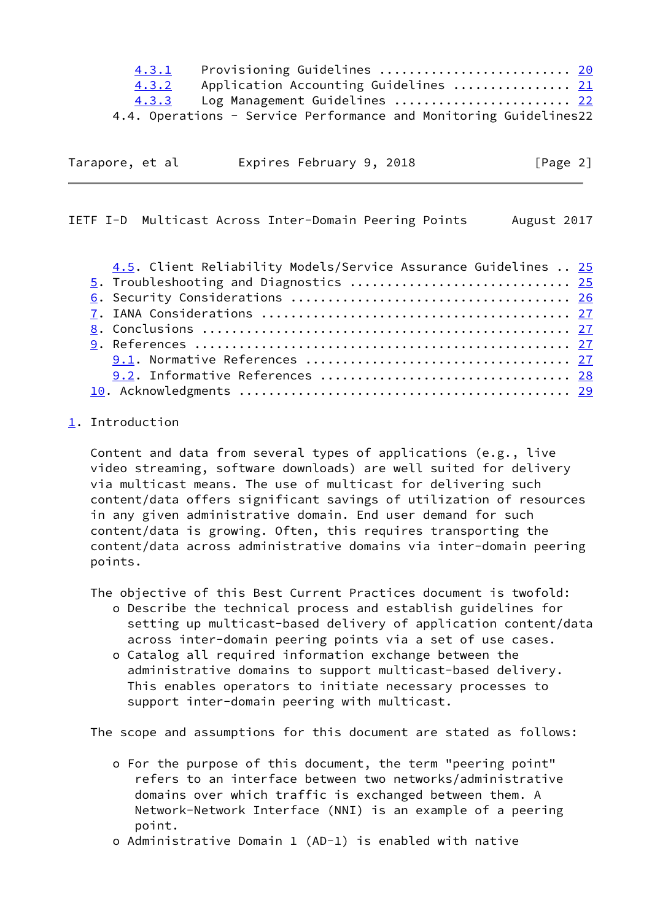| 4.3.1 | Provisioning Guidelines <u>20</u>                                 |  |
|-------|-------------------------------------------------------------------|--|
| 4.3.2 | Application Accounting Guidelines  21                             |  |
| 4.3.3 | Log Management Guidelines  22                                     |  |
|       | 4.4. Operations - Service Performance and Monitoring Guidelines22 |  |

| Tarapore, et al |  | Expires February 9, 2018 | [Page 2] |  |
|-----------------|--|--------------------------|----------|--|
|                 |  |                          |          |  |

<span id="page-2-1"></span>IETF I-D Multicast Across Inter-Domain Peering Points August 2017

| 4.5. Client Reliability Models/Service Assurance Guidelines  25 |  |
|-----------------------------------------------------------------|--|
| 5. Troubleshooting and Diagnostics  25                          |  |
|                                                                 |  |
|                                                                 |  |
|                                                                 |  |
|                                                                 |  |
|                                                                 |  |
|                                                                 |  |
|                                                                 |  |

# <span id="page-2-0"></span>[1](#page-2-0). Introduction

 Content and data from several types of applications (e.g., live video streaming, software downloads) are well suited for delivery via multicast means. The use of multicast for delivering such content/data offers significant savings of utilization of resources in any given administrative domain. End user demand for such content/data is growing. Often, this requires transporting the content/data across administrative domains via inter-domain peering points.

The objective of this Best Current Practices document is twofold:

- o Describe the technical process and establish guidelines for setting up multicast-based delivery of application content/data across inter-domain peering points via a set of use cases.
- o Catalog all required information exchange between the administrative domains to support multicast-based delivery. This enables operators to initiate necessary processes to support inter-domain peering with multicast.

The scope and assumptions for this document are stated as follows:

- o For the purpose of this document, the term "peering point" refers to an interface between two networks/administrative domains over which traffic is exchanged between them. A Network-Network Interface (NNI) is an example of a peering point.
- o Administrative Domain 1 (AD-1) is enabled with native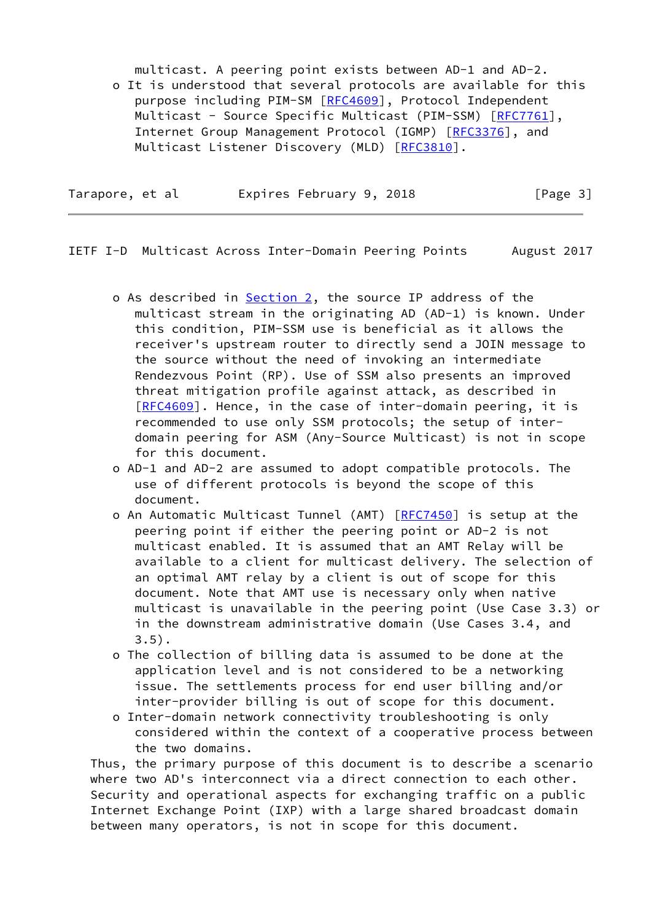multicast. A peering point exists between AD-1 and AD-2. o It is understood that several protocols are available for this purpose including PIM-SM [\[RFC4609](https://datatracker.ietf.org/doc/pdf/rfc4609)], Protocol Independent Multicast - Source Specific Multicast (PIM-SSM) [[RFC7761](https://datatracker.ietf.org/doc/pdf/rfc7761)], Internet Group Management Protocol (IGMP) [\[RFC3376](https://datatracker.ietf.org/doc/pdf/rfc3376)], and Multicast Listener Discovery (MLD) [\[RFC3810](https://datatracker.ietf.org/doc/pdf/rfc3810)].

| Tarapore, et al |  | Expires February 9, 2018 |  | [Page 3] |  |
|-----------------|--|--------------------------|--|----------|--|
|                 |  |                          |  |          |  |

<span id="page-3-0"></span>IETF I-D Multicast Across Inter-Domain Peering Points August 2017

- o As described in [Section 2](#page-4-0), the source IP address of the multicast stream in the originating AD (AD-1) is known. Under this condition, PIM-SSM use is beneficial as it allows the receiver's upstream router to directly send a JOIN message to the source without the need of invoking an intermediate Rendezvous Point (RP). Use of SSM also presents an improved threat mitigation profile against attack, as described in [[RFC4609](https://datatracker.ietf.org/doc/pdf/rfc4609)]. Hence, in the case of inter-domain peering, it is recommended to use only SSM protocols; the setup of inter domain peering for ASM (Any-Source Multicast) is not in scope for this document.
- o AD-1 and AD-2 are assumed to adopt compatible protocols. The use of different protocols is beyond the scope of this document.
- o An Automatic Multicast Tunnel (AMT) [\[RFC7450](https://datatracker.ietf.org/doc/pdf/rfc7450)] is setup at the peering point if either the peering point or AD-2 is not multicast enabled. It is assumed that an AMT Relay will be available to a client for multicast delivery. The selection of an optimal AMT relay by a client is out of scope for this document. Note that AMT use is necessary only when native multicast is unavailable in the peering point (Use Case 3.3) or in the downstream administrative domain (Use Cases 3.4, and  $3.5$ ).
- o The collection of billing data is assumed to be done at the application level and is not considered to be a networking issue. The settlements process for end user billing and/or inter-provider billing is out of scope for this document.
- o Inter-domain network connectivity troubleshooting is only considered within the context of a cooperative process between the two domains.

 Thus, the primary purpose of this document is to describe a scenario where two AD's interconnect via a direct connection to each other. Security and operational aspects for exchanging traffic on a public Internet Exchange Point (IXP) with a large shared broadcast domain between many operators, is not in scope for this document.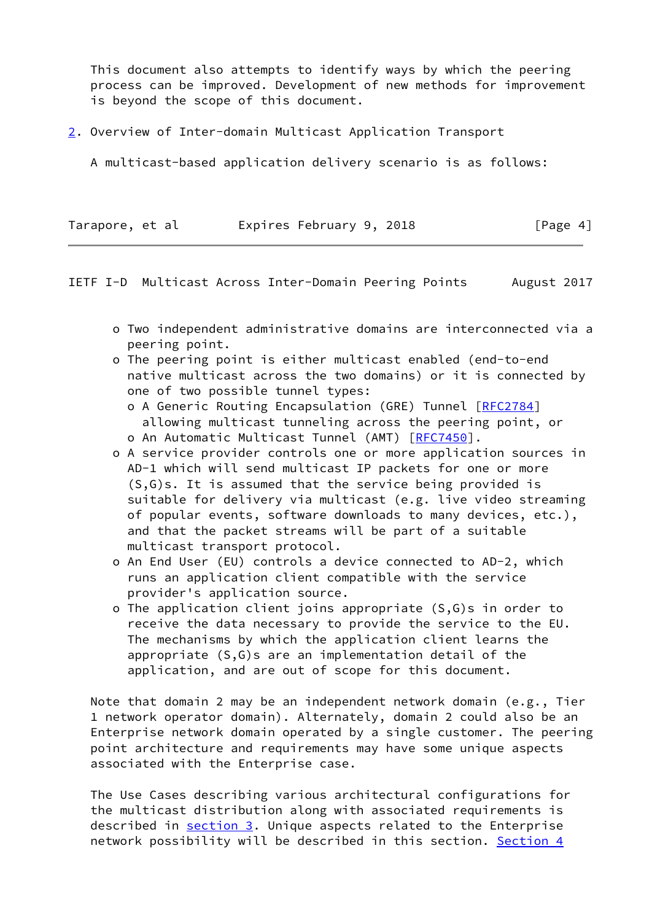This document also attempts to identify ways by which the peering process can be improved. Development of new methods for improvement is beyond the scope of this document.

<span id="page-4-0"></span>[2](#page-4-0). Overview of Inter-domain Multicast Application Transport

A multicast-based application delivery scenario is as follows:

| Tarapore, et al | Expires February 9, 2018 |  | [Page 4] |
|-----------------|--------------------------|--|----------|
|-----------------|--------------------------|--|----------|

IETF I-D Multicast Across Inter-Domain Peering Points August 2017

- o Two independent administrative domains are interconnected via a peering point.
- o The peering point is either multicast enabled (end-to-end native multicast across the two domains) or it is connected by one of two possible tunnel types:
	- o A Generic Routing Encapsulation (GRE) Tunnel [\[RFC2784](https://datatracker.ietf.org/doc/pdf/rfc2784)] allowing multicast tunneling across the peering point, or
	- o An Automatic Multicast Tunnel (AMT) [[RFC7450\]](https://datatracker.ietf.org/doc/pdf/rfc7450).
- o A service provider controls one or more application sources in AD-1 which will send multicast IP packets for one or more (S,G)s. It is assumed that the service being provided is suitable for delivery via multicast (e.g. live video streaming of popular events, software downloads to many devices, etc.), and that the packet streams will be part of a suitable multicast transport protocol.
- o An End User (EU) controls a device connected to AD-2, which runs an application client compatible with the service provider's application source.
- o The application client joins appropriate (S,G)s in order to receive the data necessary to provide the service to the EU. The mechanisms by which the application client learns the appropriate (S,G)s are an implementation detail of the application, and are out of scope for this document.

 Note that domain 2 may be an independent network domain (e.g., Tier 1 network operator domain). Alternately, domain 2 could also be an Enterprise network domain operated by a single customer. The peering point architecture and requirements may have some unique aspects associated with the Enterprise case.

 The Use Cases describing various architectural configurations for the multicast distribution along with associated requirements is described in [section 3](#page-5-0). Unique aspects related to the Enterprise network possibility will be described in this section. [Section 4](#page-14-0)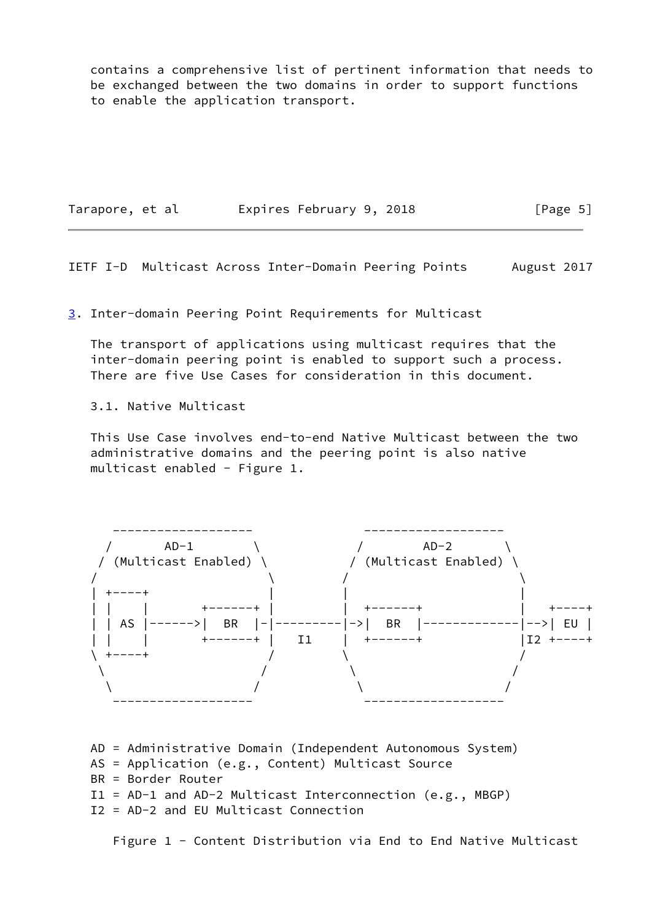contains a comprehensive list of pertinent information that needs to be exchanged between the two domains in order to support functions to enable the application transport.

Tarapore, et al expires February 9, 2018 [Page 5]

<span id="page-5-1"></span>IETF I-D Multicast Across Inter-Domain Peering Points August 2017

<span id="page-5-0"></span>[3](#page-5-0). Inter-domain Peering Point Requirements for Multicast

 The transport of applications using multicast requires that the inter-domain peering point is enabled to support such a process. There are five Use Cases for consideration in this document.

3.1. Native Multicast

 This Use Case involves end-to-end Native Multicast between the two administrative domains and the peering point is also native multicast enabled - Figure 1.



 AD = Administrative Domain (Independent Autonomous System) AS = Application (e.g., Content) Multicast Source BR = Border Router I1 = AD-1 and AD-2 Multicast Interconnection (e.g., MBGP) I2 = AD-2 and EU Multicast Connection

Figure 1 - Content Distribution via End to End Native Multicast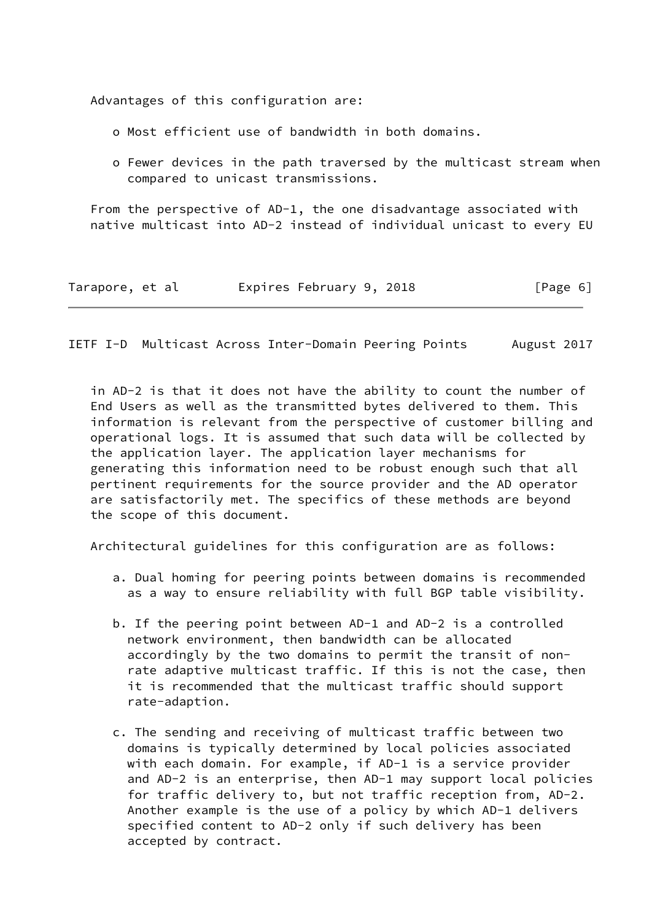Advantages of this configuration are:

- o Most efficient use of bandwidth in both domains.
- o Fewer devices in the path traversed by the multicast stream when compared to unicast transmissions.

 From the perspective of AD-1, the one disadvantage associated with native multicast into AD-2 instead of individual unicast to every EU

| Tarapore, et al |  | Expires February 9, 2018 |  | [Page 6] |  |
|-----------------|--|--------------------------|--|----------|--|
|-----------------|--|--------------------------|--|----------|--|

IETF I-D Multicast Across Inter-Domain Peering Points August 2017

 in AD-2 is that it does not have the ability to count the number of End Users as well as the transmitted bytes delivered to them. This information is relevant from the perspective of customer billing and operational logs. It is assumed that such data will be collected by the application layer. The application layer mechanisms for generating this information need to be robust enough such that all pertinent requirements for the source provider and the AD operator are satisfactorily met. The specifics of these methods are beyond the scope of this document.

Architectural guidelines for this configuration are as follows:

- a. Dual homing for peering points between domains is recommended as a way to ensure reliability with full BGP table visibility.
- b. If the peering point between AD-1 and AD-2 is a controlled network environment, then bandwidth can be allocated accordingly by the two domains to permit the transit of non rate adaptive multicast traffic. If this is not the case, then it is recommended that the multicast traffic should support rate-adaption.
- c. The sending and receiving of multicast traffic between two domains is typically determined by local policies associated with each domain. For example, if AD-1 is a service provider and AD-2 is an enterprise, then AD-1 may support local policies for traffic delivery to, but not traffic reception from, AD-2. Another example is the use of a policy by which AD-1 delivers specified content to AD-2 only if such delivery has been accepted by contract.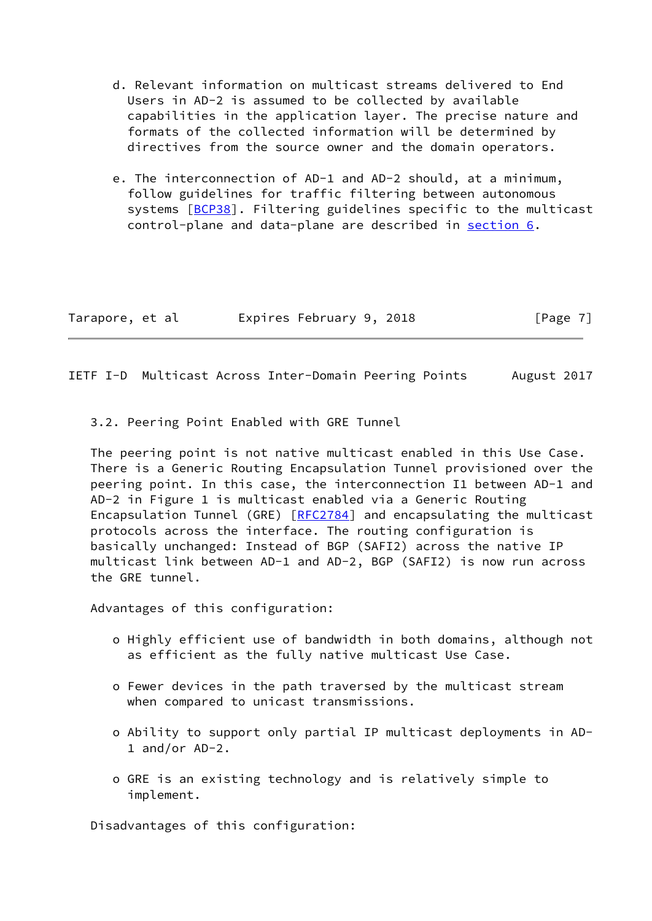- d. Relevant information on multicast streams delivered to End Users in AD-2 is assumed to be collected by available capabilities in the application layer. The precise nature and formats of the collected information will be determined by directives from the source owner and the domain operators.
- e. The interconnection of AD-1 and AD-2 should, at a minimum, follow guidelines for traffic filtering between autonomous systems [\[BCP38\]](#page-29-2). Filtering guidelines specific to the multicast control-plane and data-plane are described in [section 6.](#page-27-0)

| Tarapore, et al |  | Expires February 9, 2018 |  | [Page 7] |
|-----------------|--|--------------------------|--|----------|
|-----------------|--|--------------------------|--|----------|

<span id="page-7-0"></span>IETF I-D Multicast Across Inter-Domain Peering Points August 2017

3.2. Peering Point Enabled with GRE Tunnel

 The peering point is not native multicast enabled in this Use Case. There is a Generic Routing Encapsulation Tunnel provisioned over the peering point. In this case, the interconnection I1 between AD-1 and AD-2 in Figure 1 is multicast enabled via a Generic Routing Encapsulation Tunnel (GRE) [[RFC2784\]](https://datatracker.ietf.org/doc/pdf/rfc2784) and encapsulating the multicast protocols across the interface. The routing configuration is basically unchanged: Instead of BGP (SAFI2) across the native IP multicast link between AD-1 and AD-2, BGP (SAFI2) is now run across the GRE tunnel.

Advantages of this configuration:

- o Highly efficient use of bandwidth in both domains, although not as efficient as the fully native multicast Use Case.
- o Fewer devices in the path traversed by the multicast stream when compared to unicast transmissions.
- o Ability to support only partial IP multicast deployments in AD- 1 and/or AD-2.
- o GRE is an existing technology and is relatively simple to implement.

Disadvantages of this configuration: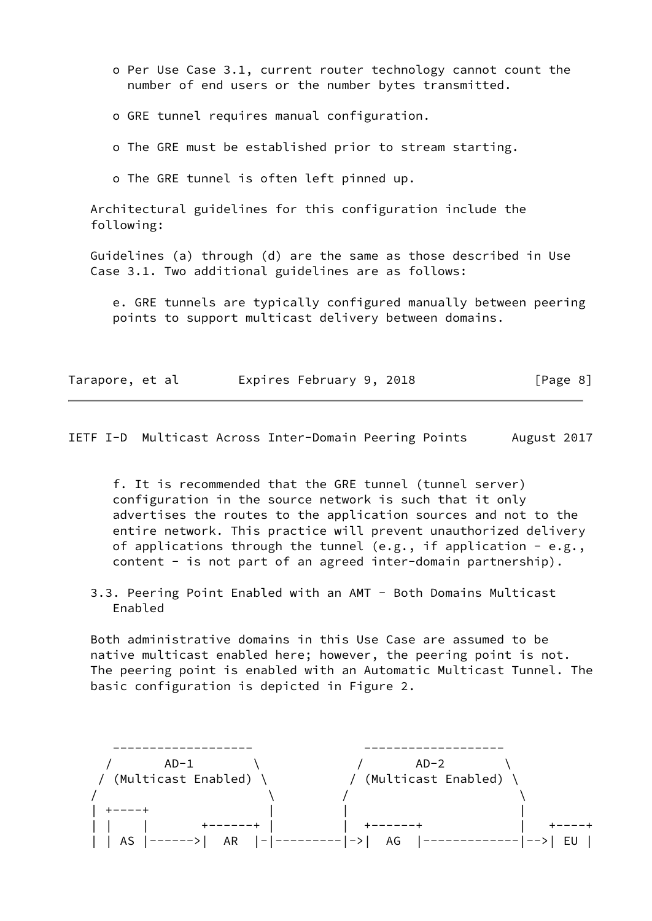- o Per Use Case 3.1, current router technology cannot count the number of end users or the number bytes transmitted.
- o GRE tunnel requires manual configuration.
- o The GRE must be established prior to stream starting.
- o The GRE tunnel is often left pinned up.

 Architectural guidelines for this configuration include the following:

 Guidelines (a) through (d) are the same as those described in Use Case 3.1. Two additional guidelines are as follows:

 e. GRE tunnels are typically configured manually between peering points to support multicast delivery between domains.

| Tarapore, et al | Expires February 9, 2018 | [Page 8] |
|-----------------|--------------------------|----------|
|-----------------|--------------------------|----------|

<span id="page-8-0"></span>IETF I-D Multicast Across Inter-Domain Peering Points August 2017

 f. It is recommended that the GRE tunnel (tunnel server) configuration in the source network is such that it only advertises the routes to the application sources and not to the entire network. This practice will prevent unauthorized delivery of applications through the tunnel (e.g., if application - e.g., content - is not part of an agreed inter-domain partnership).

 3.3. Peering Point Enabled with an AMT - Both Domains Multicast Enabled

 Both administrative domains in this Use Case are assumed to be native multicast enabled here; however, the peering point is not. The peering point is enabled with an Automatic Multicast Tunnel. The basic configuration is depicted in Figure 2.

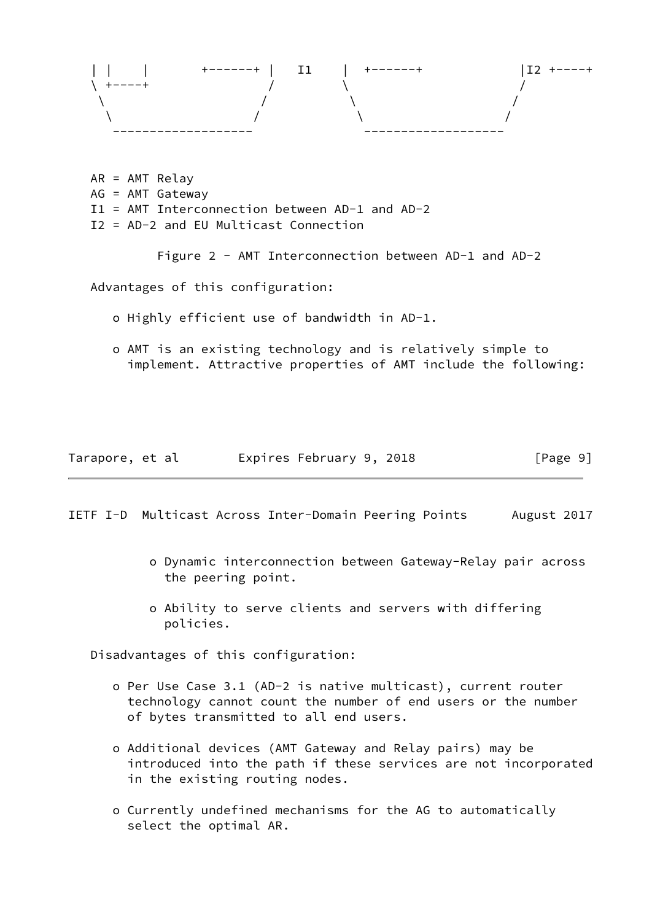

 AR = AMT Relay AG = AMT Gateway I1 = AMT Interconnection between AD-1 and AD-2 I2 = AD-2 and EU Multicast Connection

Figure 2 - AMT Interconnection between AD-1 and AD-2

Advantages of this configuration:

- o Highly efficient use of bandwidth in AD-1.
- o AMT is an existing technology and is relatively simple to implement. Attractive properties of AMT include the following:

| Tarapore, et al | Expires February 9, 2018 |  | [Page 9] |
|-----------------|--------------------------|--|----------|
|-----------------|--------------------------|--|----------|

<span id="page-9-0"></span>IETF I-D Multicast Across Inter-Domain Peering Points August 2017

- o Dynamic interconnection between Gateway-Relay pair across the peering point.
- o Ability to serve clients and servers with differing policies.

Disadvantages of this configuration:

- o Per Use Case 3.1 (AD-2 is native multicast), current router technology cannot count the number of end users or the number of bytes transmitted to all end users.
- o Additional devices (AMT Gateway and Relay pairs) may be introduced into the path if these services are not incorporated in the existing routing nodes.
- o Currently undefined mechanisms for the AG to automatically select the optimal AR.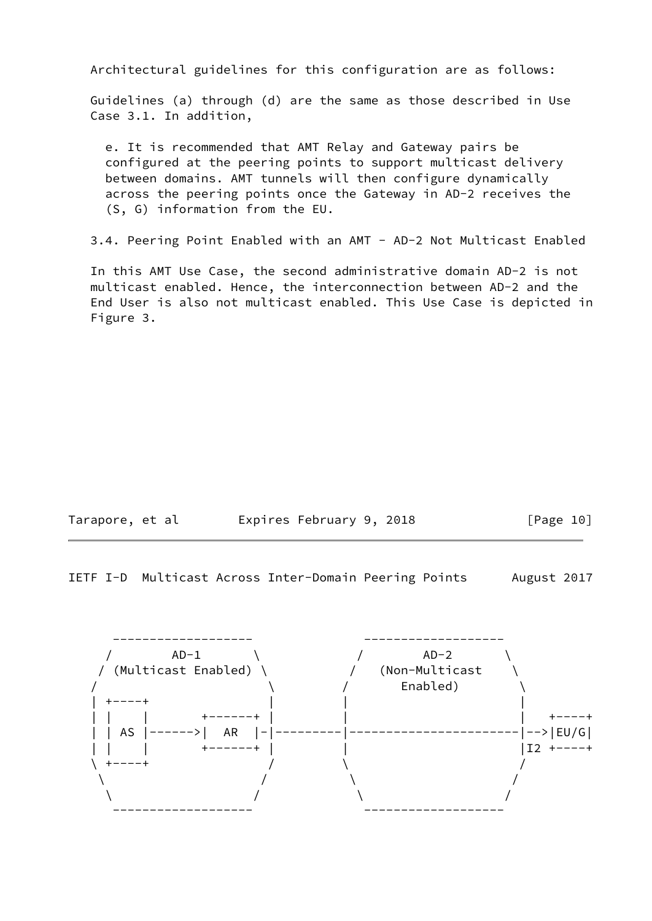Architectural guidelines for this configuration are as follows:

 Guidelines (a) through (d) are the same as those described in Use Case 3.1. In addition,

 e. It is recommended that AMT Relay and Gateway pairs be configured at the peering points to support multicast delivery between domains. AMT tunnels will then configure dynamically across the peering points once the Gateway in AD-2 receives the (S, G) information from the EU.

3.4. Peering Point Enabled with an AMT - AD-2 Not Multicast Enabled

 In this AMT Use Case, the second administrative domain AD-2 is not multicast enabled. Hence, the interconnection between AD-2 and the End User is also not multicast enabled. This Use Case is depicted in Figure 3.

| Tarapore, et al | Expires February 9, 2018 |  | [Page 10] |
|-----------------|--------------------------|--|-----------|
|-----------------|--------------------------|--|-----------|

IETF I-D Multicast Across Inter-Domain Peering Points August 2017

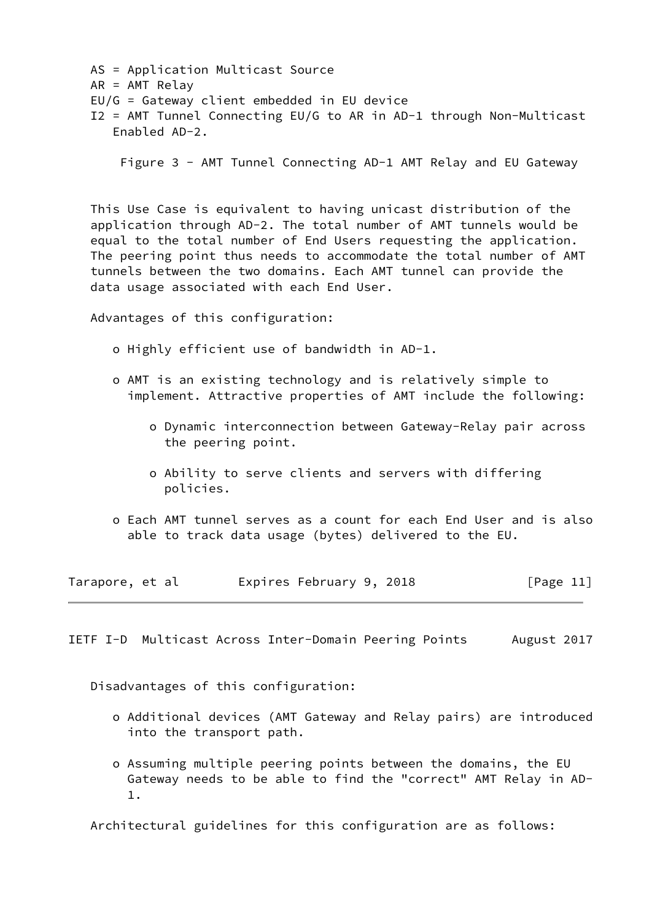AS = Application Multicast Source AR = AMT Relay EU/G = Gateway client embedded in EU device I2 = AMT Tunnel Connecting EU/G to AR in AD-1 through Non-Multicast Enabled AD-2.

Figure 3 - AMT Tunnel Connecting AD-1 AMT Relay and EU Gateway

 This Use Case is equivalent to having unicast distribution of the application through AD-2. The total number of AMT tunnels would be equal to the total number of End Users requesting the application. The peering point thus needs to accommodate the total number of AMT tunnels between the two domains. Each AMT tunnel can provide the data usage associated with each End User.

Advantages of this configuration:

- o Highly efficient use of bandwidth in AD-1.
- o AMT is an existing technology and is relatively simple to implement. Attractive properties of AMT include the following:
	- o Dynamic interconnection between Gateway-Relay pair across the peering point.
	- o Ability to serve clients and servers with differing policies.
- o Each AMT tunnel serves as a count for each End User and is also able to track data usage (bytes) delivered to the EU.

| Tarapore, et al | Expires February 9, 2018 |  | [Page 11] |
|-----------------|--------------------------|--|-----------|
|-----------------|--------------------------|--|-----------|

<span id="page-11-0"></span>IETF I-D Multicast Across Inter-Domain Peering Points August 2017

Disadvantages of this configuration:

- o Additional devices (AMT Gateway and Relay pairs) are introduced into the transport path.
- o Assuming multiple peering points between the domains, the EU Gateway needs to be able to find the "correct" AMT Relay in AD- 1.

Architectural guidelines for this configuration are as follows: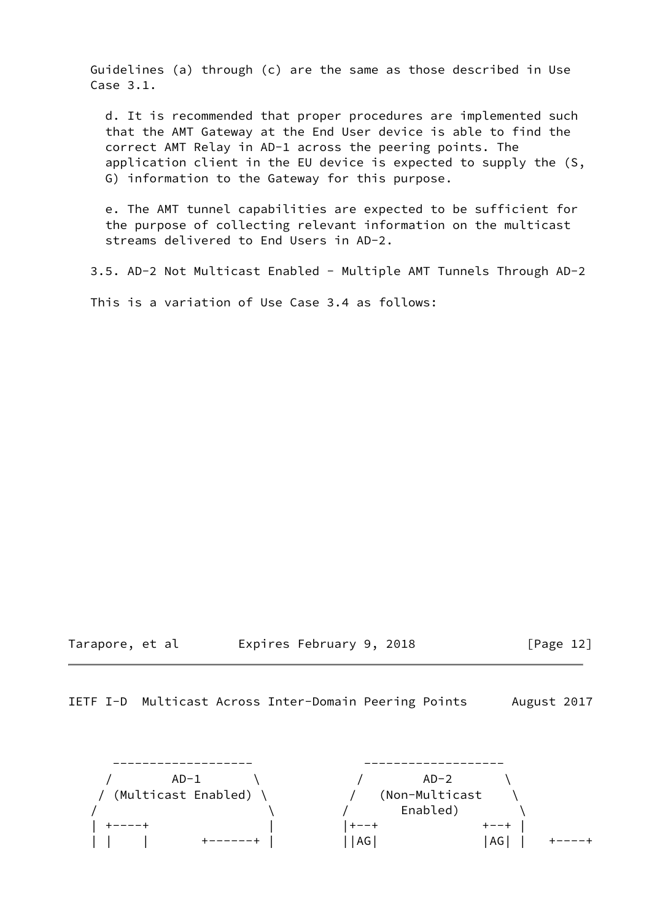Guidelines (a) through (c) are the same as those described in Use Case 3.1.

 d. It is recommended that proper procedures are implemented such that the AMT Gateway at the End User device is able to find the correct AMT Relay in AD-1 across the peering points. The application client in the EU device is expected to supply the (S, G) information to the Gateway for this purpose.

 e. The AMT tunnel capabilities are expected to be sufficient for the purpose of collecting relevant information on the multicast streams delivered to End Users in AD-2.

3.5. AD-2 Not Multicast Enabled - Multiple AMT Tunnels Through AD-2

This is a variation of Use Case 3.4 as follows:

Tarapore, et al expires February 9, 2018 [Page 12]

IETF I-D Multicast Across Inter-Domain Peering Points August 2017

 ------------------- ------------------- / AD-1 \ / AD-2 \ / (Multicast Enabled) \ / (Non-Multicast \  $\setminus$   $\setminus$   $\setminus$   $\setminus$  Enabled)  $\setminus$  | +----+ | |+--+ +--+ | | | | +------+ | ||AG| |AG| | +----+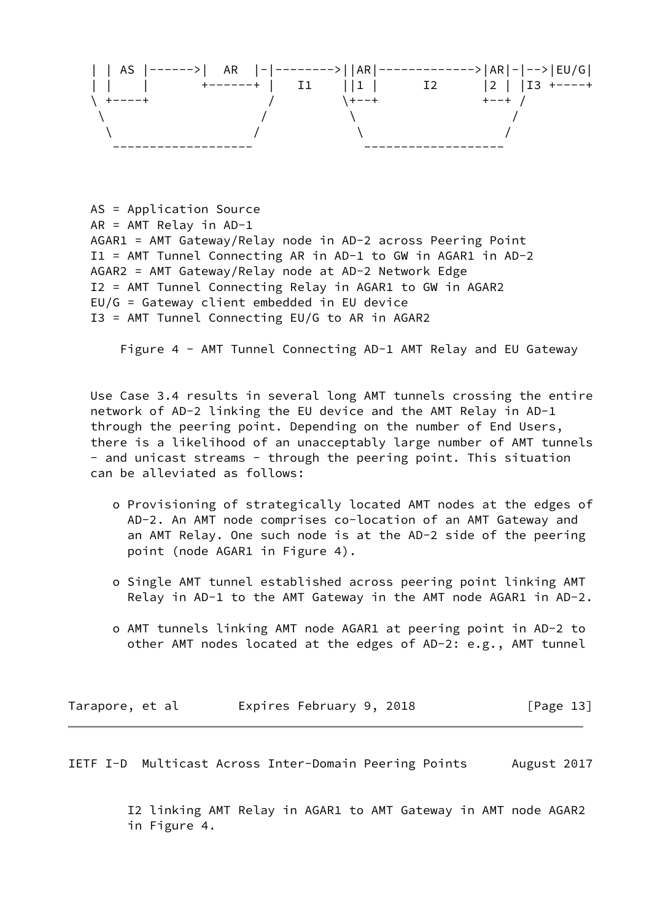

 AS = Application Source AR = AMT Relay in AD-1 AGAR1 = AMT Gateway/Relay node in AD-2 across Peering Point I1 = AMT Tunnel Connecting AR in AD-1 to GW in AGAR1 in AD-2 AGAR2 = AMT Gateway/Relay node at AD-2 Network Edge I2 = AMT Tunnel Connecting Relay in AGAR1 to GW in AGAR2 EU/G = Gateway client embedded in EU device I3 = AMT Tunnel Connecting EU/G to AR in AGAR2

Figure 4 - AMT Tunnel Connecting AD-1 AMT Relay and EU Gateway

 Use Case 3.4 results in several long AMT tunnels crossing the entire network of AD-2 linking the EU device and the AMT Relay in AD-1 through the peering point. Depending on the number of End Users, there is a likelihood of an unacceptably large number of AMT tunnels - and unicast streams - through the peering point. This situation can be alleviated as follows:

- o Provisioning of strategically located AMT nodes at the edges of AD-2. An AMT node comprises co-location of an AMT Gateway and an AMT Relay. One such node is at the AD-2 side of the peering point (node AGAR1 in Figure 4).
- o Single AMT tunnel established across peering point linking AMT Relay in AD-1 to the AMT Gateway in the AMT node AGAR1 in AD-2.
- o AMT tunnels linking AMT node AGAR1 at peering point in AD-2 to other AMT nodes located at the edges of AD-2: e.g., AMT tunnel

Tarapore, et al expires February 9, 2018 [Page 13]

<span id="page-13-0"></span>IETF I-D Multicast Across Inter-Domain Peering Points August 2017

 I2 linking AMT Relay in AGAR1 to AMT Gateway in AMT node AGAR2 in Figure 4.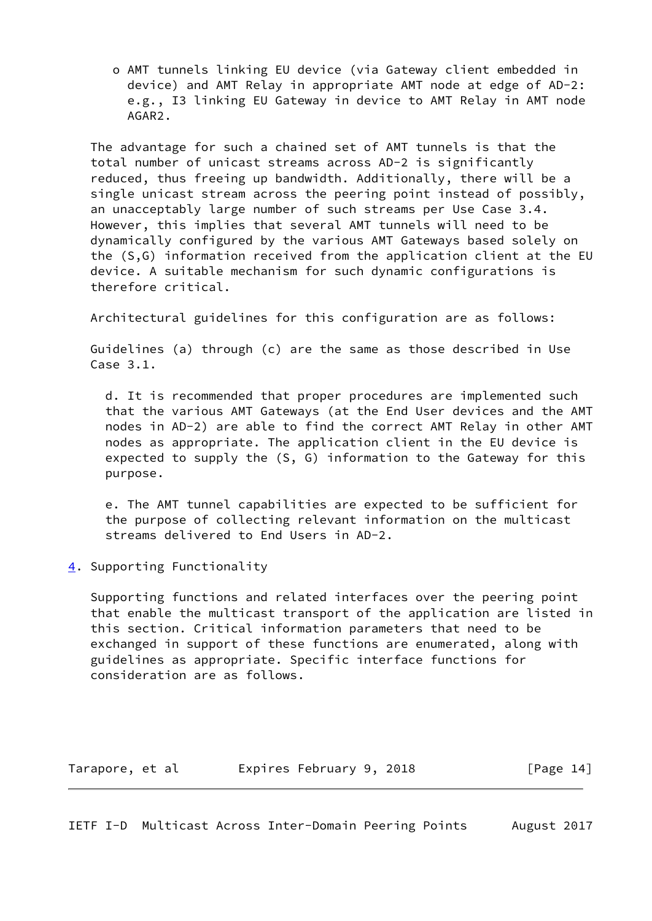o AMT tunnels linking EU device (via Gateway client embedded in device) and AMT Relay in appropriate AMT node at edge of AD-2: e.g., I3 linking EU Gateway in device to AMT Relay in AMT node AGAR2.

 The advantage for such a chained set of AMT tunnels is that the total number of unicast streams across AD-2 is significantly reduced, thus freeing up bandwidth. Additionally, there will be a single unicast stream across the peering point instead of possibly, an unacceptably large number of such streams per Use Case 3.4. However, this implies that several AMT tunnels will need to be dynamically configured by the various AMT Gateways based solely on the (S,G) information received from the application client at the EU device. A suitable mechanism for such dynamic configurations is therefore critical.

Architectural guidelines for this configuration are as follows:

 Guidelines (a) through (c) are the same as those described in Use Case 3.1.

 d. It is recommended that proper procedures are implemented such that the various AMT Gateways (at the End User devices and the AMT nodes in AD-2) are able to find the correct AMT Relay in other AMT nodes as appropriate. The application client in the EU device is expected to supply the (S, G) information to the Gateway for this purpose.

 e. The AMT tunnel capabilities are expected to be sufficient for the purpose of collecting relevant information on the multicast streams delivered to End Users in AD-2.

<span id="page-14-0"></span>[4](#page-14-0). Supporting Functionality

 Supporting functions and related interfaces over the peering point that enable the multicast transport of the application are listed in this section. Critical information parameters that need to be exchanged in support of these functions are enumerated, along with guidelines as appropriate. Specific interface functions for consideration are as follows.

Tarapore, et al expires February 9, 2018 [Page 14]

<span id="page-14-1"></span>IETF I-D Multicast Across Inter-Domain Peering Points August 2017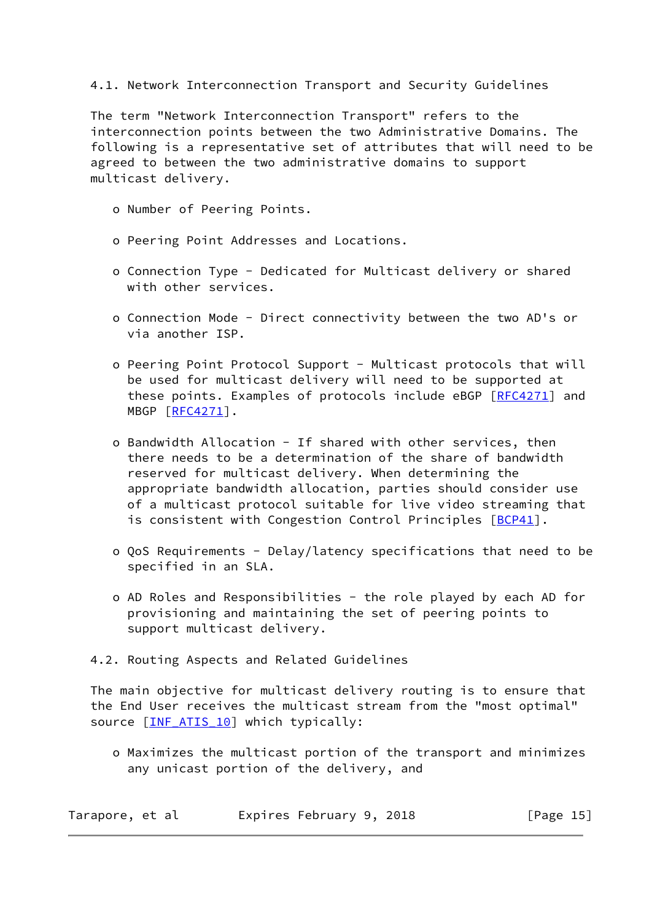### 4.1. Network Interconnection Transport and Security Guidelines

 The term "Network Interconnection Transport" refers to the interconnection points between the two Administrative Domains. The following is a representative set of attributes that will need to be agreed to between the two administrative domains to support multicast delivery.

- o Number of Peering Points.
- o Peering Point Addresses and Locations.
- o Connection Type Dedicated for Multicast delivery or shared with other services.
- o Connection Mode Direct connectivity between the two AD's or via another ISP.
- o Peering Point Protocol Support Multicast protocols that will be used for multicast delivery will need to be supported at these points. Examples of protocols include eBGP [[RFC4271](https://datatracker.ietf.org/doc/pdf/rfc4271)] and MBGP [[RFC4271](https://datatracker.ietf.org/doc/pdf/rfc4271)].
- o Bandwidth Allocation If shared with other services, then there needs to be a determination of the share of bandwidth reserved for multicast delivery. When determining the appropriate bandwidth allocation, parties should consider use of a multicast protocol suitable for live video streaming that is consistent with Congestion Control Principles [[BCP41\]](#page-29-3).
- o QoS Requirements Delay/latency specifications that need to be specified in an SLA.
- o AD Roles and Responsibilities the role played by each AD for provisioning and maintaining the set of peering points to support multicast delivery.
- 4.2. Routing Aspects and Related Guidelines

 The main objective for multicast delivery routing is to ensure that the End User receives the multicast stream from the "most optimal" source [INF ATIS 10] which typically:

 o Maximizes the multicast portion of the transport and minimizes any unicast portion of the delivery, and

| Tarapore, et al | Expires February 9, 2018 | [Page 15] |
|-----------------|--------------------------|-----------|
|-----------------|--------------------------|-----------|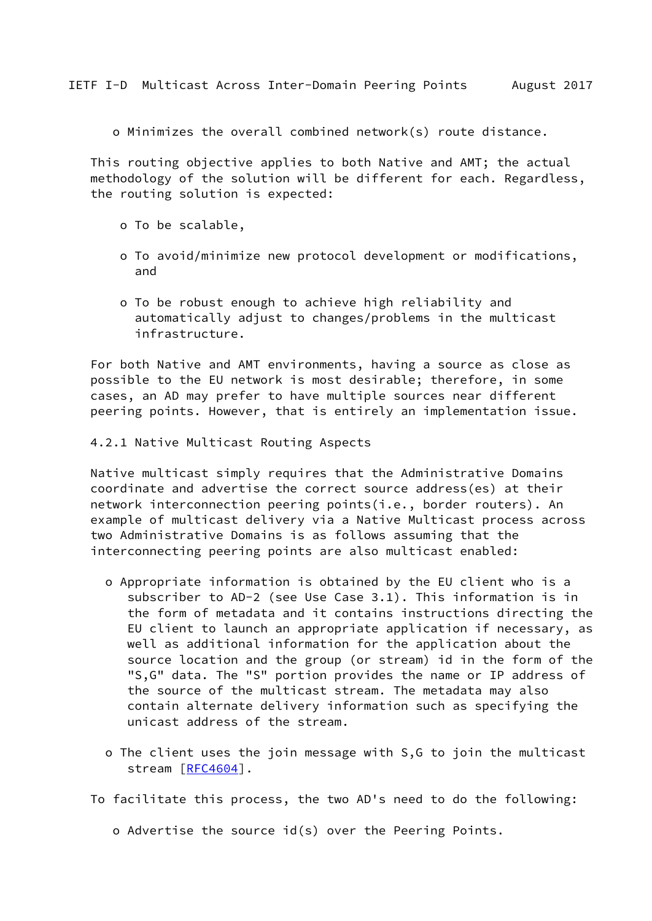<span id="page-16-0"></span>o Minimizes the overall combined network(s) route distance.

 This routing objective applies to both Native and AMT; the actual methodology of the solution will be different for each. Regardless, the routing solution is expected:

- o To be scalable,
- o To avoid/minimize new protocol development or modifications, and
- o To be robust enough to achieve high reliability and automatically adjust to changes/problems in the multicast infrastructure.

 For both Native and AMT environments, having a source as close as possible to the EU network is most desirable; therefore, in some cases, an AD may prefer to have multiple sources near different peering points. However, that is entirely an implementation issue.

4.2.1 Native Multicast Routing Aspects

 Native multicast simply requires that the Administrative Domains coordinate and advertise the correct source address(es) at their network interconnection peering points(i.e., border routers). An example of multicast delivery via a Native Multicast process across two Administrative Domains is as follows assuming that the interconnecting peering points are also multicast enabled:

- o Appropriate information is obtained by the EU client who is a subscriber to AD-2 (see Use Case 3.1). This information is in the form of metadata and it contains instructions directing the EU client to launch an appropriate application if necessary, as well as additional information for the application about the source location and the group (or stream) id in the form of the "S,G" data. The "S" portion provides the name or IP address of the source of the multicast stream. The metadata may also contain alternate delivery information such as specifying the unicast address of the stream.
- o The client uses the join message with S,G to join the multicast stream [\[RFC4604](https://datatracker.ietf.org/doc/pdf/rfc4604)].
- To facilitate this process, the two AD's need to do the following:
	- o Advertise the source id(s) over the Peering Points.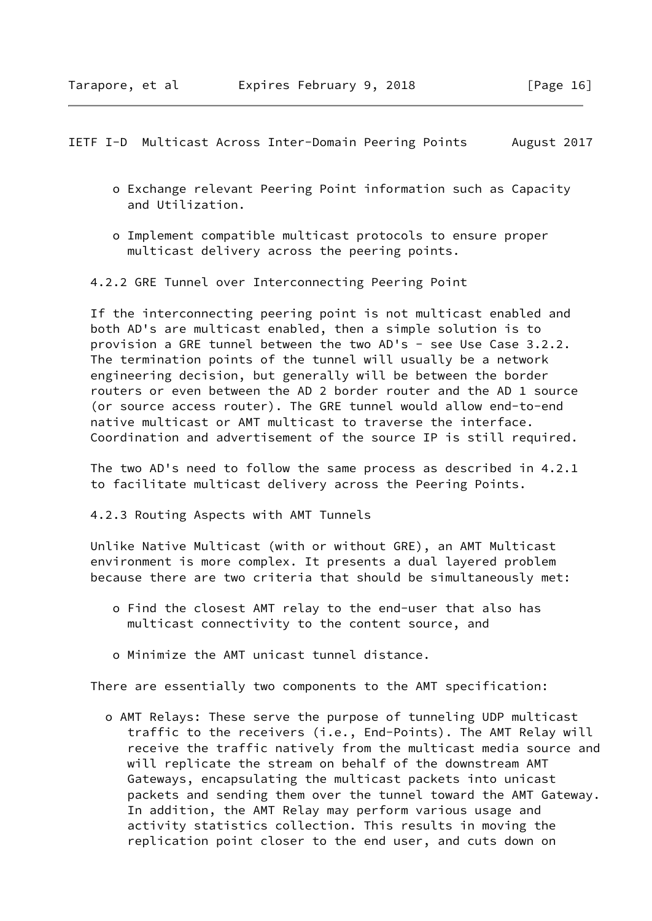<span id="page-17-0"></span>IETF I-D Multicast Across Inter-Domain Peering Points August 2017

- o Exchange relevant Peering Point information such as Capacity and Utilization.
- o Implement compatible multicast protocols to ensure proper multicast delivery across the peering points.

4.2.2 GRE Tunnel over Interconnecting Peering Point

 If the interconnecting peering point is not multicast enabled and both AD's are multicast enabled, then a simple solution is to provision a GRE tunnel between the two AD's - see Use Case 3.2.2. The termination points of the tunnel will usually be a network engineering decision, but generally will be between the border routers or even between the AD 2 border router and the AD 1 source (or source access router). The GRE tunnel would allow end-to-end native multicast or AMT multicast to traverse the interface. Coordination and advertisement of the source IP is still required.

 The two AD's need to follow the same process as described in 4.2.1 to facilitate multicast delivery across the Peering Points.

4.2.3 Routing Aspects with AMT Tunnels

 Unlike Native Multicast (with or without GRE), an AMT Multicast environment is more complex. It presents a dual layered problem because there are two criteria that should be simultaneously met:

- o Find the closest AMT relay to the end-user that also has multicast connectivity to the content source, and
- o Minimize the AMT unicast tunnel distance.

There are essentially two components to the AMT specification:

 o AMT Relays: These serve the purpose of tunneling UDP multicast traffic to the receivers (i.e., End-Points). The AMT Relay will receive the traffic natively from the multicast media source and will replicate the stream on behalf of the downstream AMT Gateways, encapsulating the multicast packets into unicast packets and sending them over the tunnel toward the AMT Gateway. In addition, the AMT Relay may perform various usage and activity statistics collection. This results in moving the replication point closer to the end user, and cuts down on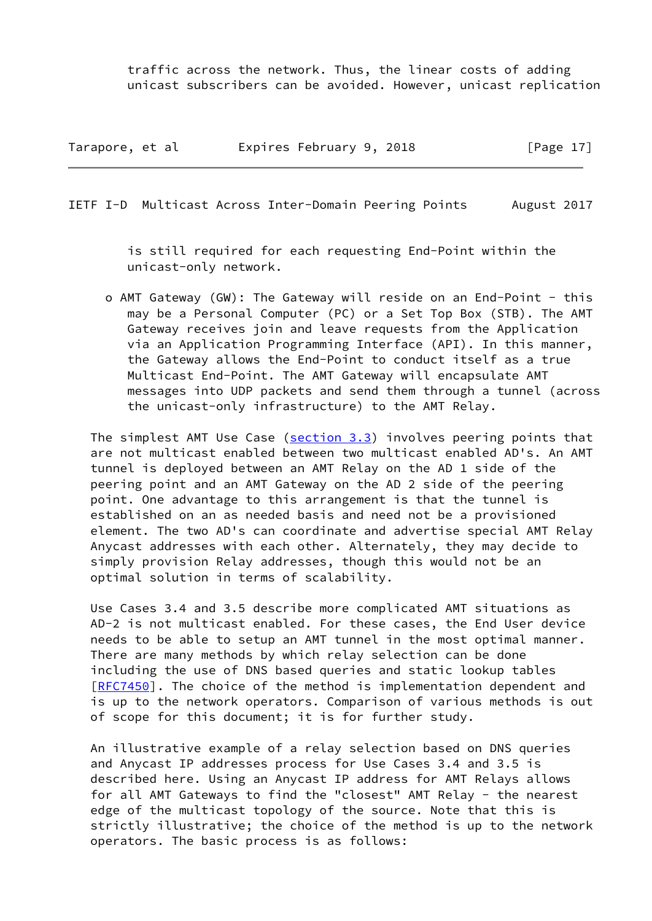traffic across the network. Thus, the linear costs of adding unicast subscribers can be avoided. However, unicast replication

| Tarapore, et al | Expires February 9, 2018 | [Page 17] |
|-----------------|--------------------------|-----------|
|-----------------|--------------------------|-----------|

IETF I-D Multicast Across Inter-Domain Peering Points August 2017

 is still required for each requesting End-Point within the unicast-only network.

 o AMT Gateway (GW): The Gateway will reside on an End-Point - this may be a Personal Computer (PC) or a Set Top Box (STB). The AMT Gateway receives join and leave requests from the Application via an Application Programming Interface (API). In this manner, the Gateway allows the End-Point to conduct itself as a true Multicast End-Point. The AMT Gateway will encapsulate AMT messages into UDP packets and send them through a tunnel (across the unicast-only infrastructure) to the AMT Relay.

The simplest AMT Use Case ( $section 3.3$ ) involves peering points that are not multicast enabled between two multicast enabled AD's. An AMT tunnel is deployed between an AMT Relay on the AD 1 side of the peering point and an AMT Gateway on the AD 2 side of the peering point. One advantage to this arrangement is that the tunnel is established on an as needed basis and need not be a provisioned element. The two AD's can coordinate and advertise special AMT Relay Anycast addresses with each other. Alternately, they may decide to simply provision Relay addresses, though this would not be an optimal solution in terms of scalability.

 Use Cases 3.4 and 3.5 describe more complicated AMT situations as AD-2 is not multicast enabled. For these cases, the End User device needs to be able to setup an AMT tunnel in the most optimal manner. There are many methods by which relay selection can be done including the use of DNS based queries and static lookup tables [\[RFC7450](https://datatracker.ietf.org/doc/pdf/rfc7450)]. The choice of the method is implementation dependent and is up to the network operators. Comparison of various methods is out of scope for this document; it is for further study.

 An illustrative example of a relay selection based on DNS queries and Anycast IP addresses process for Use Cases 3.4 and 3.5 is described here. Using an Anycast IP address for AMT Relays allows for all AMT Gateways to find the "closest" AMT Relay - the nearest edge of the multicast topology of the source. Note that this is strictly illustrative; the choice of the method is up to the network operators. The basic process is as follows: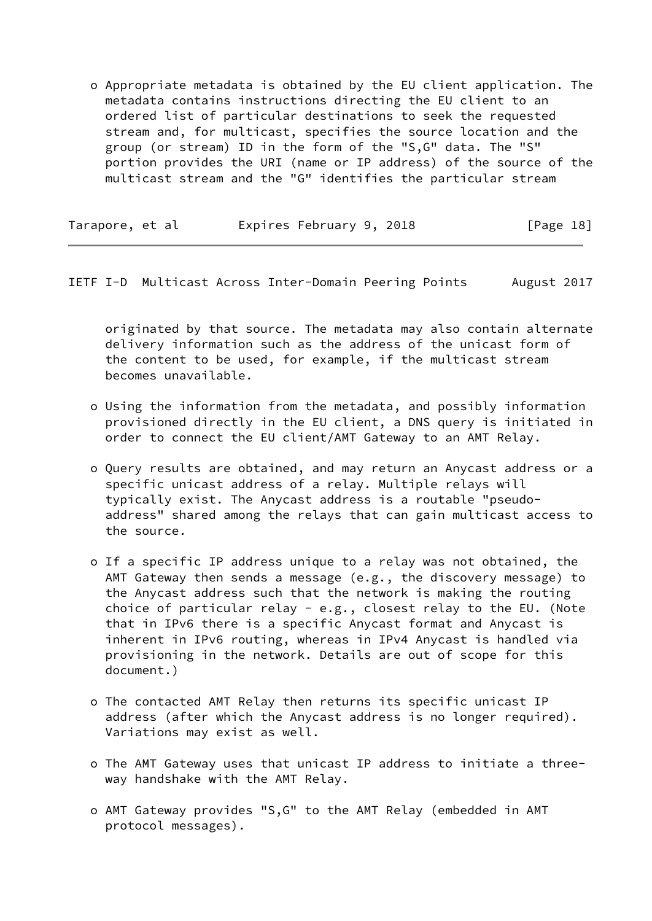o Appropriate metadata is obtained by the EU client application. The metadata contains instructions directing the EU client to an ordered list of particular destinations to seek the requested stream and, for multicast, specifies the source location and the group (or stream) ID in the form of the "S,G" data. The "S" portion provides the URI (name or IP address) of the source of the multicast stream and the "G" identifies the particular stream

| Tarapore, et al | Expires February 9, 2018 | [Page 18] |
|-----------------|--------------------------|-----------|
|-----------------|--------------------------|-----------|

<span id="page-19-0"></span>IETF I-D Multicast Across Inter-Domain Peering Points August 2017

 originated by that source. The metadata may also contain alternate delivery information such as the address of the unicast form of the content to be used, for example, if the multicast stream becomes unavailable.

- o Using the information from the metadata, and possibly information provisioned directly in the EU client, a DNS query is initiated in order to connect the EU client/AMT Gateway to an AMT Relay.
- o Query results are obtained, and may return an Anycast address or a specific unicast address of a relay. Multiple relays will typically exist. The Anycast address is a routable "pseudo address" shared among the relays that can gain multicast access to the source.
- o If a specific IP address unique to a relay was not obtained, the AMT Gateway then sends a message (e.g., the discovery message) to the Anycast address such that the network is making the routing choice of particular relay - e.g., closest relay to the EU. (Note that in IPv6 there is a specific Anycast format and Anycast is inherent in IPv6 routing, whereas in IPv4 Anycast is handled via provisioning in the network. Details are out of scope for this document.)
- o The contacted AMT Relay then returns its specific unicast IP address (after which the Anycast address is no longer required). Variations may exist as well.
- o The AMT Gateway uses that unicast IP address to initiate a three way handshake with the AMT Relay.
- o AMT Gateway provides "S,G" to the AMT Relay (embedded in AMT protocol messages).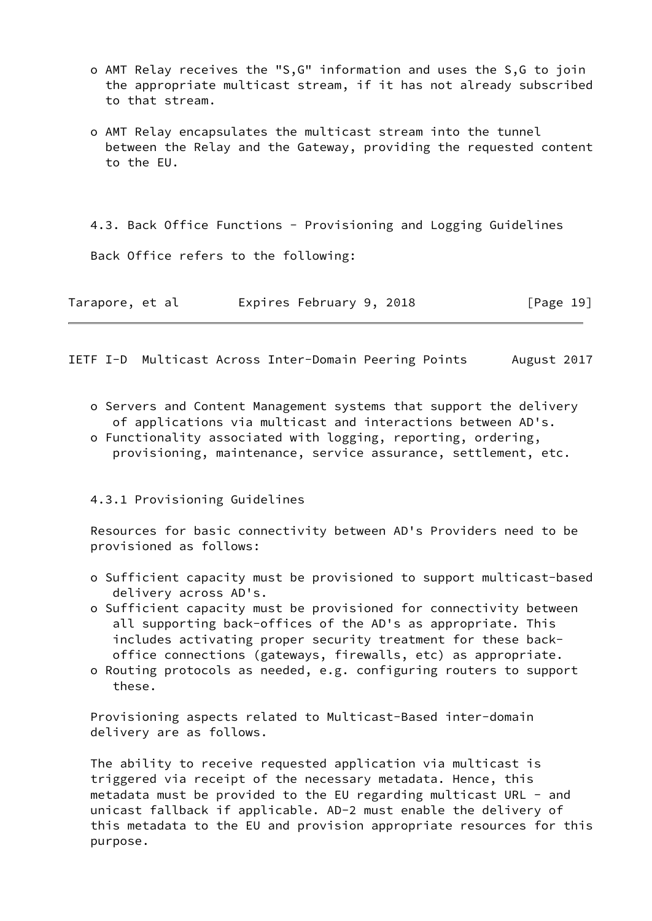- o AMT Relay receives the "S,G" information and uses the S,G to join the appropriate multicast stream, if it has not already subscribed to that stream.
- o AMT Relay encapsulates the multicast stream into the tunnel between the Relay and the Gateway, providing the requested content to the EU.

4.3. Back Office Functions - Provisioning and Logging Guidelines

Back Office refers to the following:

| Tarapore, et al |  |  |  | Expires February 9, 2018 |  |  | [Page 19] |  |
|-----------------|--|--|--|--------------------------|--|--|-----------|--|
|-----------------|--|--|--|--------------------------|--|--|-----------|--|

<span id="page-20-0"></span>IETF I-D Multicast Across Inter-Domain Peering Points August 2017

- o Servers and Content Management systems that support the delivery of applications via multicast and interactions between AD's.
- o Functionality associated with logging, reporting, ordering, provisioning, maintenance, service assurance, settlement, etc.

4.3.1 Provisioning Guidelines

 Resources for basic connectivity between AD's Providers need to be provisioned as follows:

- o Sufficient capacity must be provisioned to support multicast-based delivery across AD's.
- o Sufficient capacity must be provisioned for connectivity between all supporting back-offices of the AD's as appropriate. This includes activating proper security treatment for these back office connections (gateways, firewalls, etc) as appropriate.
- o Routing protocols as needed, e.g. configuring routers to support these.

 Provisioning aspects related to Multicast-Based inter-domain delivery are as follows.

 The ability to receive requested application via multicast is triggered via receipt of the necessary metadata. Hence, this metadata must be provided to the EU regarding multicast URL - and unicast fallback if applicable. AD-2 must enable the delivery of this metadata to the EU and provision appropriate resources for this purpose.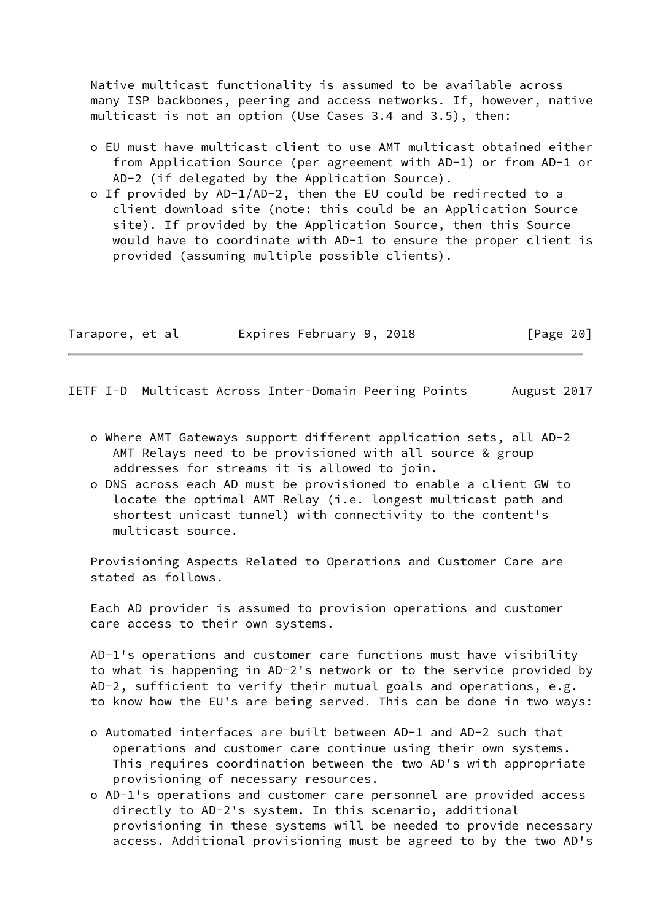Native multicast functionality is assumed to be available across many ISP backbones, peering and access networks. If, however, native multicast is not an option (Use Cases 3.4 and 3.5), then:

- o EU must have multicast client to use AMT multicast obtained either from Application Source (per agreement with AD-1) or from AD-1 or AD-2 (if delegated by the Application Source).
- o If provided by AD-1/AD-2, then the EU could be redirected to a client download site (note: this could be an Application Source site). If provided by the Application Source, then this Source would have to coordinate with AD-1 to ensure the proper client is provided (assuming multiple possible clients).

| Tarapore, et al | Expires February 9, 2018 |  | [Page 20] |
|-----------------|--------------------------|--|-----------|
|-----------------|--------------------------|--|-----------|

<span id="page-21-0"></span>IETF I-D Multicast Across Inter-Domain Peering Points August 2017

- o Where AMT Gateways support different application sets, all AD-2 AMT Relays need to be provisioned with all source & group addresses for streams it is allowed to join.
- o DNS across each AD must be provisioned to enable a client GW to locate the optimal AMT Relay (i.e. longest multicast path and shortest unicast tunnel) with connectivity to the content's multicast source.

 Provisioning Aspects Related to Operations and Customer Care are stated as follows.

 Each AD provider is assumed to provision operations and customer care access to their own systems.

 AD-1's operations and customer care functions must have visibility to what is happening in AD-2's network or to the service provided by AD-2, sufficient to verify their mutual goals and operations, e.g. to know how the EU's are being served. This can be done in two ways:

- o Automated interfaces are built between AD-1 and AD-2 such that operations and customer care continue using their own systems. This requires coordination between the two AD's with appropriate provisioning of necessary resources.
- o AD-1's operations and customer care personnel are provided access directly to AD-2's system. In this scenario, additional provisioning in these systems will be needed to provide necessary access. Additional provisioning must be agreed to by the two AD's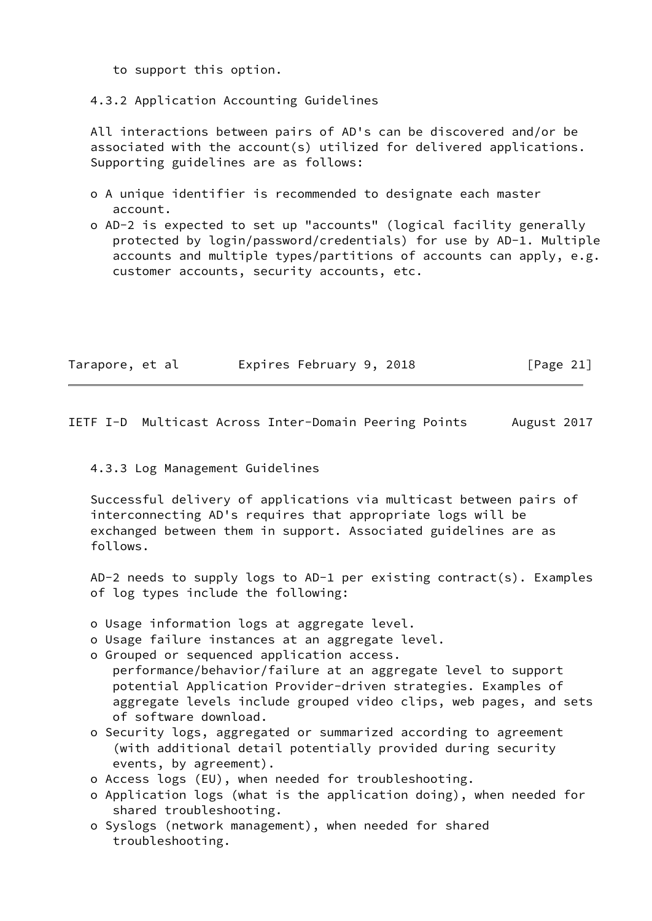to support this option.

4.3.2 Application Accounting Guidelines

 All interactions between pairs of AD's can be discovered and/or be associated with the account(s) utilized for delivered applications. Supporting guidelines are as follows:

- o A unique identifier is recommended to designate each master account.
- o AD-2 is expected to set up "accounts" (logical facility generally protected by login/password/credentials) for use by AD-1. Multiple accounts and multiple types/partitions of accounts can apply, e.g. customer accounts, security accounts, etc.

| Tarapore, et al | Expires February 9, 2018 |  | [Page 21] |
|-----------------|--------------------------|--|-----------|
|-----------------|--------------------------|--|-----------|

<span id="page-22-0"></span>IETF I-D Multicast Across Inter-Domain Peering Points August 2017

### 4.3.3 Log Management Guidelines

 Successful delivery of applications via multicast between pairs of interconnecting AD's requires that appropriate logs will be exchanged between them in support. Associated guidelines are as follows.

 AD-2 needs to supply logs to AD-1 per existing contract(s). Examples of log types include the following:

- o Usage information logs at aggregate level.
- o Usage failure instances at an aggregate level.
- o Grouped or sequenced application access.
- performance/behavior/failure at an aggregate level to support potential Application Provider-driven strategies. Examples of aggregate levels include grouped video clips, web pages, and sets of software download.
- o Security logs, aggregated or summarized according to agreement (with additional detail potentially provided during security events, by agreement).
- o Access logs (EU), when needed for troubleshooting.
- o Application logs (what is the application doing), when needed for shared troubleshooting.
- o Syslogs (network management), when needed for shared troubleshooting.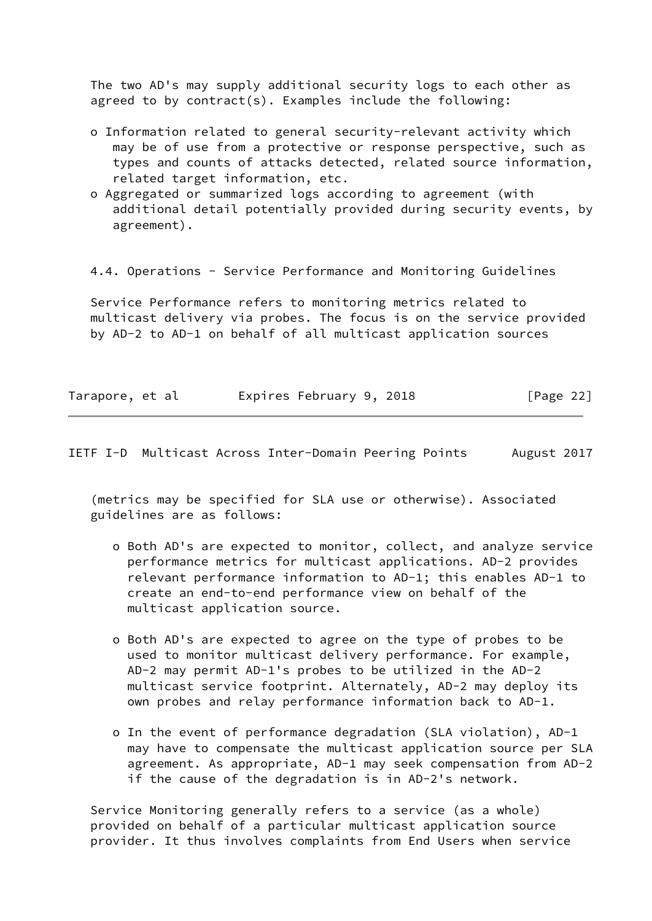The two AD's may supply additional security logs to each other as agreed to by contract(s). Examples include the following:

- o Information related to general security-relevant activity which may be of use from a protective or response perspective, such as types and counts of attacks detected, related source information, related target information, etc.
- o Aggregated or summarized logs according to agreement (with additional detail potentially provided during security events, by agreement).

4.4. Operations - Service Performance and Monitoring Guidelines

 Service Performance refers to monitoring metrics related to multicast delivery via probes. The focus is on the service provided by AD-2 to AD-1 on behalf of all multicast application sources

| Tarapore, et al | Expires February 9, 2018 | [Page 22] |
|-----------------|--------------------------|-----------|
|                 |                          |           |

IETF I-D Multicast Across Inter-Domain Peering Points August 2017

 (metrics may be specified for SLA use or otherwise). Associated guidelines are as follows:

- o Both AD's are expected to monitor, collect, and analyze service performance metrics for multicast applications. AD-2 provides relevant performance information to AD-1; this enables AD-1 to create an end-to-end performance view on behalf of the multicast application source.
- o Both AD's are expected to agree on the type of probes to be used to monitor multicast delivery performance. For example, AD-2 may permit AD-1's probes to be utilized in the AD-2 multicast service footprint. Alternately, AD-2 may deploy its own probes and relay performance information back to AD-1.
- o In the event of performance degradation (SLA violation), AD-1 may have to compensate the multicast application source per SLA agreement. As appropriate, AD-1 may seek compensation from AD-2 if the cause of the degradation is in AD-2's network.

 Service Monitoring generally refers to a service (as a whole) provided on behalf of a particular multicast application source provider. It thus involves complaints from End Users when service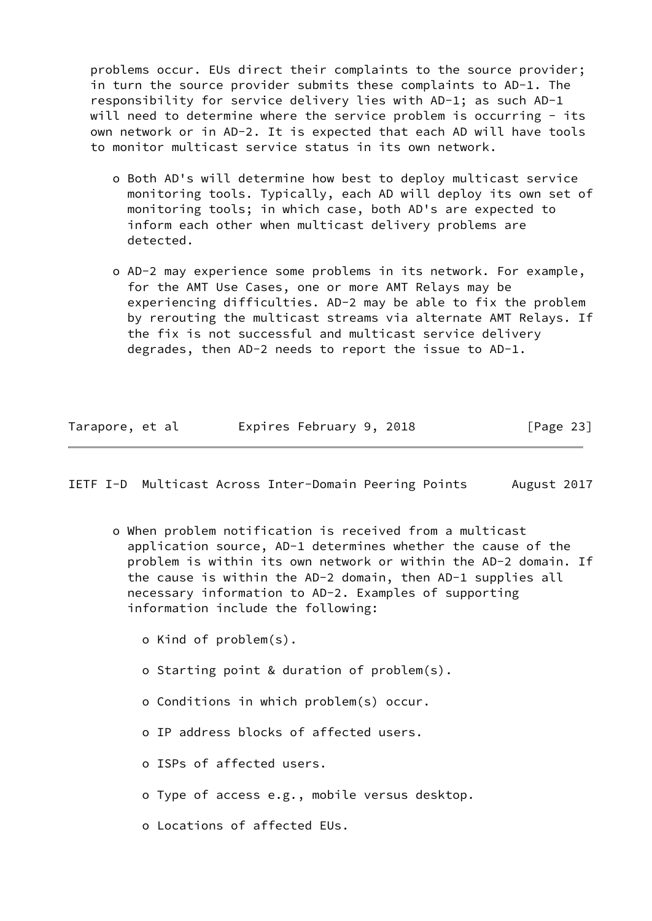problems occur. EUs direct their complaints to the source provider; in turn the source provider submits these complaints to AD-1. The responsibility for service delivery lies with AD-1; as such AD-1 will need to determine where the service problem is occurring - its own network or in AD-2. It is expected that each AD will have tools to monitor multicast service status in its own network.

- o Both AD's will determine how best to deploy multicast service monitoring tools. Typically, each AD will deploy its own set of monitoring tools; in which case, both AD's are expected to inform each other when multicast delivery problems are detected.
- o AD-2 may experience some problems in its network. For example, for the AMT Use Cases, one or more AMT Relays may be experiencing difficulties. AD-2 may be able to fix the problem by rerouting the multicast streams via alternate AMT Relays. If the fix is not successful and multicast service delivery degrades, then AD-2 needs to report the issue to AD-1.

| Tarapore, et al |  |  | Expires February 9, 2018 |  |  | [Page 23] |  |
|-----------------|--|--|--------------------------|--|--|-----------|--|
|-----------------|--|--|--------------------------|--|--|-----------|--|

IETF I-D Multicast Across Inter-Domain Peering Points August 2017

- o When problem notification is received from a multicast application source, AD-1 determines whether the cause of the problem is within its own network or within the AD-2 domain. If the cause is within the AD-2 domain, then AD-1 supplies all necessary information to AD-2. Examples of supporting information include the following:
	- o Kind of problem(s).
	- o Starting point & duration of problem(s).
	- o Conditions in which problem(s) occur.
	- o IP address blocks of affected users.
	- o ISPs of affected users.
	- o Type of access e.g., mobile versus desktop.
	- o Locations of affected EUs.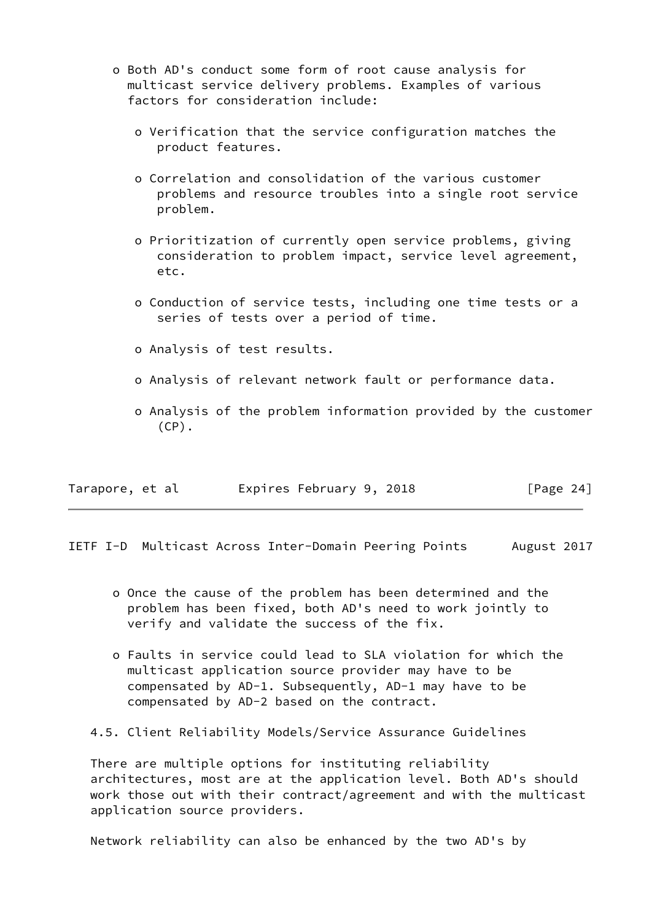- o Both AD's conduct some form of root cause analysis for multicast service delivery problems. Examples of various factors for consideration include:
	- o Verification that the service configuration matches the product features.
	- o Correlation and consolidation of the various customer problems and resource troubles into a single root service problem.
	- o Prioritization of currently open service problems, giving consideration to problem impact, service level agreement, etc.
	- o Conduction of service tests, including one time tests or a series of tests over a period of time.
	- o Analysis of test results.
	- o Analysis of relevant network fault or performance data.
	- o Analysis of the problem information provided by the customer  $(CP)$ .

| Tarapore, et al | Expires February 9, 2018 | [Page 24] |
|-----------------|--------------------------|-----------|
|-----------------|--------------------------|-----------|

<span id="page-25-0"></span>IETF I-D Multicast Across Inter-Domain Peering Points August 2017

- o Once the cause of the problem has been determined and the problem has been fixed, both AD's need to work jointly to verify and validate the success of the fix.
- o Faults in service could lead to SLA violation for which the multicast application source provider may have to be compensated by AD-1. Subsequently, AD-1 may have to be compensated by AD-2 based on the contract.

4.5. Client Reliability Models/Service Assurance Guidelines

 There are multiple options for instituting reliability architectures, most are at the application level. Both AD's should work those out with their contract/agreement and with the multicast application source providers.

Network reliability can also be enhanced by the two AD's by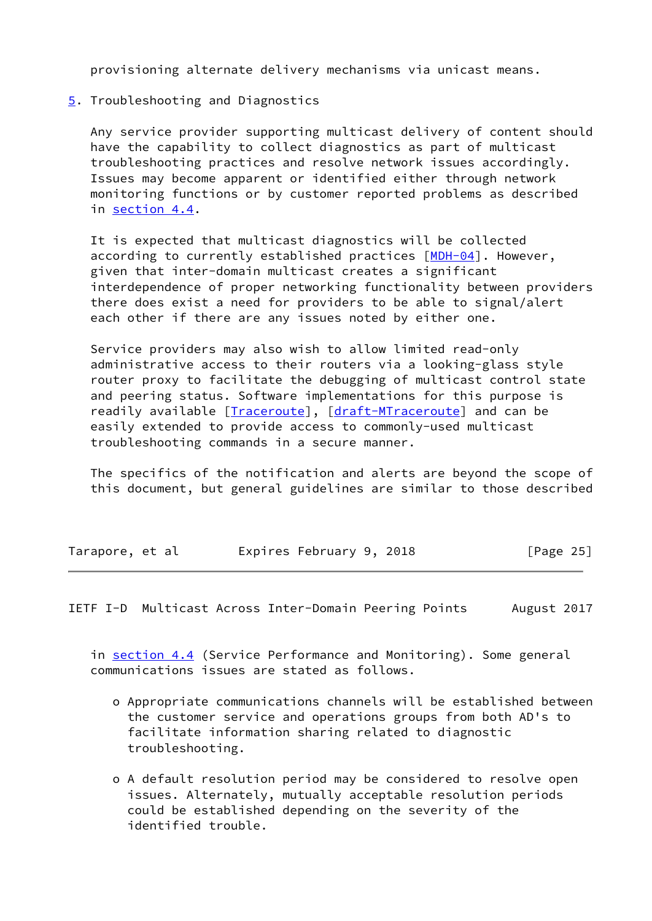provisioning alternate delivery mechanisms via unicast means.

<span id="page-26-0"></span>[5](#page-26-0). Troubleshooting and Diagnostics

 Any service provider supporting multicast delivery of content should have the capability to collect diagnostics as part of multicast troubleshooting practices and resolve network issues accordingly. Issues may become apparent or identified either through network monitoring functions or by customer reported problems as described in section 4.4.

 It is expected that multicast diagnostics will be collected according to currently established practices [\[MDH-04](#page-29-5)]. However, given that inter-domain multicast creates a significant interdependence of proper networking functionality between providers there does exist a need for providers to be able to signal/alert each other if there are any issues noted by either one.

 Service providers may also wish to allow limited read-only administrative access to their routers via a looking-glass style router proxy to facilitate the debugging of multicast control state and peering status. Software implementations for this purpose is readily available [*Traceroute*], [draft-M[Traceroute\]](#page-29-6) and can be easily extended to provide access to commonly-used multicast troubleshooting commands in a secure manner.

 The specifics of the notification and alerts are beyond the scope of this document, but general guidelines are similar to those described

| Tarapore, et al |  |  |  | Expires February 9, 2018 |  |  | [Page 25] |  |  |
|-----------------|--|--|--|--------------------------|--|--|-----------|--|--|
|-----------------|--|--|--|--------------------------|--|--|-----------|--|--|

<span id="page-26-1"></span>IETF I-D Multicast Across Inter-Domain Peering Points August 2017

in section 4.4 (Service Performance and Monitoring). Some general communications issues are stated as follows.

- o Appropriate communications channels will be established between the customer service and operations groups from both AD's to facilitate information sharing related to diagnostic troubleshooting.
- o A default resolution period may be considered to resolve open issues. Alternately, mutually acceptable resolution periods could be established depending on the severity of the identified trouble.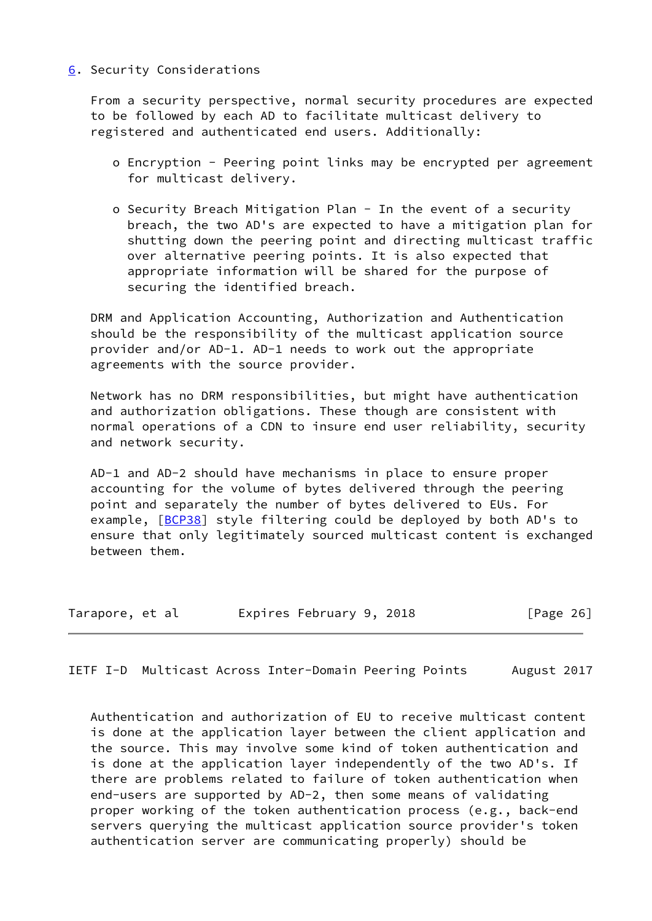### <span id="page-27-0"></span>[6](#page-27-0). Security Considerations

 From a security perspective, normal security procedures are expected to be followed by each AD to facilitate multicast delivery to registered and authenticated end users. Additionally:

- o Encryption Peering point links may be encrypted per agreement for multicast delivery.
- o Security Breach Mitigation Plan In the event of a security breach, the two AD's are expected to have a mitigation plan for shutting down the peering point and directing multicast traffic over alternative peering points. It is also expected that appropriate information will be shared for the purpose of securing the identified breach.

 DRM and Application Accounting, Authorization and Authentication should be the responsibility of the multicast application source provider and/or AD-1. AD-1 needs to work out the appropriate agreements with the source provider.

 Network has no DRM responsibilities, but might have authentication and authorization obligations. These though are consistent with normal operations of a CDN to insure end user reliability, security and network security.

 AD-1 and AD-2 should have mechanisms in place to ensure proper accounting for the volume of bytes delivered through the peering point and separately the number of bytes delivered to EUs. For example, [\[BCP38\]](#page-29-2) style filtering could be deployed by both AD's to ensure that only legitimately sourced multicast content is exchanged between them.

| Tarapore, et al |  |  | Expires February 9, 2018 |  |  | [Page 26] |  |  |
|-----------------|--|--|--------------------------|--|--|-----------|--|--|
|-----------------|--|--|--------------------------|--|--|-----------|--|--|

<span id="page-27-1"></span>IETF I-D Multicast Across Inter-Domain Peering Points August 2017

 Authentication and authorization of EU to receive multicast content is done at the application layer between the client application and the source. This may involve some kind of token authentication and is done at the application layer independently of the two AD's. If there are problems related to failure of token authentication when end-users are supported by AD-2, then some means of validating proper working of the token authentication process (e.g., back-end servers querying the multicast application source provider's token authentication server are communicating properly) should be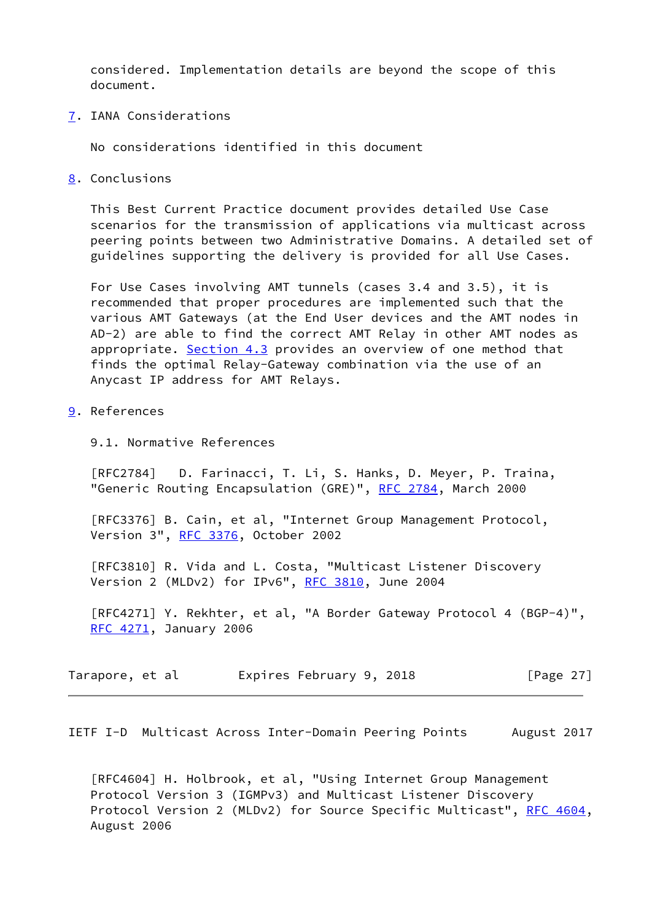considered. Implementation details are beyond the scope of this document.

<span id="page-28-0"></span>[7](#page-28-0). IANA Considerations

No considerations identified in this document

<span id="page-28-1"></span>[8](#page-28-1). Conclusions

 This Best Current Practice document provides detailed Use Case scenarios for the transmission of applications via multicast across peering points between two Administrative Domains. A detailed set of guidelines supporting the delivery is provided for all Use Cases.

 For Use Cases involving AMT tunnels (cases 3.4 and 3.5), it is recommended that proper procedures are implemented such that the various AMT Gateways (at the End User devices and the AMT nodes in AD-2) are able to find the correct AMT Relay in other AMT nodes as appropriate. Section 4.3 provides an overview of one method that finds the optimal Relay-Gateway combination via the use of an Anycast IP address for AMT Relays.

- <span id="page-28-2"></span>[9](#page-28-2). References
	- 9.1. Normative References

 [RFC2784] D. Farinacci, T. Li, S. Hanks, D. Meyer, P. Traina, "Generic Routing Encapsulation (GRE)", [RFC 2784,](https://datatracker.ietf.org/doc/pdf/rfc2784) March 2000

[RFC3376] B. Cain, et al, "Internet Group Management Protocol, Version 3", [RFC 3376,](https://datatracker.ietf.org/doc/pdf/rfc3376) October 2002

 [RFC3810] R. Vida and L. Costa, "Multicast Listener Discovery Version 2 (MLDv2) for IPv6", [RFC 3810](https://datatracker.ietf.org/doc/pdf/rfc3810), June 2004

 [RFC4271] Y. Rekhter, et al, "A Border Gateway Protocol 4 (BGP-4)", [RFC 4271](https://datatracker.ietf.org/doc/pdf/rfc4271), January 2006

| Tarapore, et al | Expires February 9, 2018 | [Page $27$ ] |
|-----------------|--------------------------|--------------|
|-----------------|--------------------------|--------------|

<span id="page-28-3"></span>IETF I-D Multicast Across Inter-Domain Peering Points August 2017

 [RFC4604] H. Holbrook, et al, "Using Internet Group Management Protocol Version 3 (IGMPv3) and Multicast Listener Discovery Protocol Version 2 (MLDv2) for Source Specific Multicast", [RFC 4604,](https://datatracker.ietf.org/doc/pdf/rfc4604) August 2006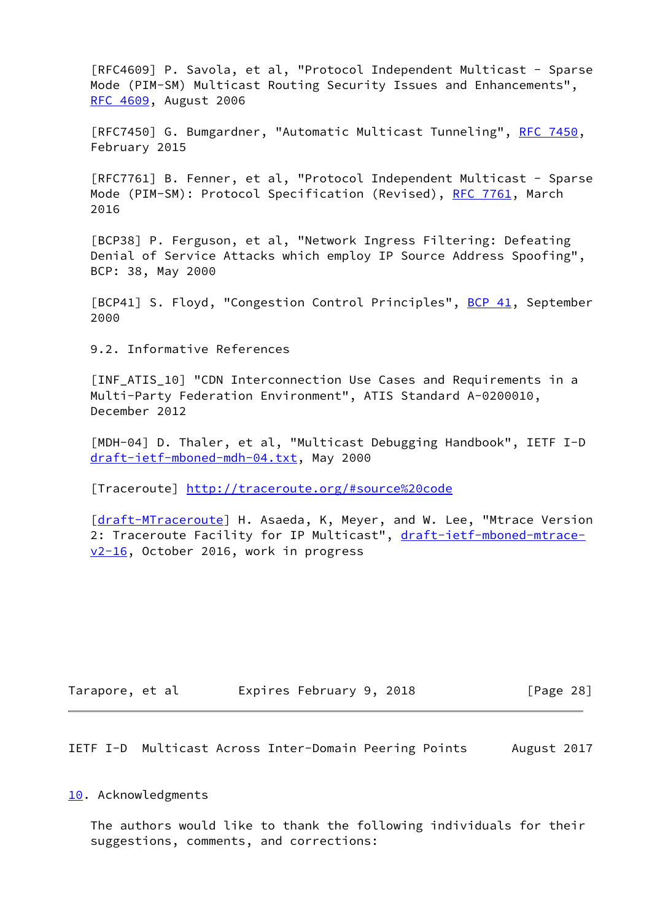[RFC4609] P. Savola, et al, "Protocol Independent Multicast - Sparse Mode (PIM-SM) Multicast Routing Security Issues and Enhancements", [RFC 4609](https://datatracker.ietf.org/doc/pdf/rfc4609), August 2006

[RFC7450] G. Bumgardner, "Automatic Multicast Tunneling", [RFC 7450](https://datatracker.ietf.org/doc/pdf/rfc7450), February 2015

 [RFC7761] B. Fenner, et al, "Protocol Independent Multicast - Sparse Mode (PIM-SM): Protocol Specification (Revised), [RFC 7761](https://datatracker.ietf.org/doc/pdf/rfc7761), March 2016

<span id="page-29-2"></span> [BCP38] P. Ferguson, et al, "Network Ingress Filtering: Defeating Denial of Service Attacks which employ IP Source Address Spoofing", BCP: 38, May 2000

<span id="page-29-3"></span>[BCP41] S. Floyd, "Congestion Control Principles", [BCP 41](https://datatracker.ietf.org/doc/pdf/bcp41), September 2000

9.2. Informative References

<span id="page-29-4"></span> [INF\_ATIS\_10] "CDN Interconnection Use Cases and Requirements in a Multi-Party Federation Environment", ATIS Standard A-0200010, December 2012

<span id="page-29-5"></span> [MDH-04] D. Thaler, et al, "Multicast Debugging Handbook", IETF I-D [draft-ietf-mboned-mdh-04.txt](https://datatracker.ietf.org/doc/pdf/draft-ietf-mboned-mdh-04.txt), May 2000

<span id="page-29-6"></span>[Traceroute]<http://traceroute.org/#source%20code>

[\[draft-MTraceroute](https://datatracker.ietf.org/doc/pdf/draft-MTraceroute)] H. Asaeda, K, Meyer, and W. Lee, "Mtrace Version 2: Traceroute Facility for IP Multicast", [draft-ietf-mboned-mtrace](https://datatracker.ietf.org/doc/pdf/draft-ietf-mboned-mtrace-v2-16) [v2-16](https://datatracker.ietf.org/doc/pdf/draft-ietf-mboned-mtrace-v2-16), October 2016, work in progress

| Tarapore, et al | Expires February 9, 2018 |  |  | [Page 28] |  |
|-----------------|--------------------------|--|--|-----------|--|
|-----------------|--------------------------|--|--|-----------|--|

<span id="page-29-1"></span>IETF I-D Multicast Across Inter-Domain Peering Points August 2017

<span id="page-29-0"></span>[10.](#page-29-0) Acknowledgments

 The authors would like to thank the following individuals for their suggestions, comments, and corrections: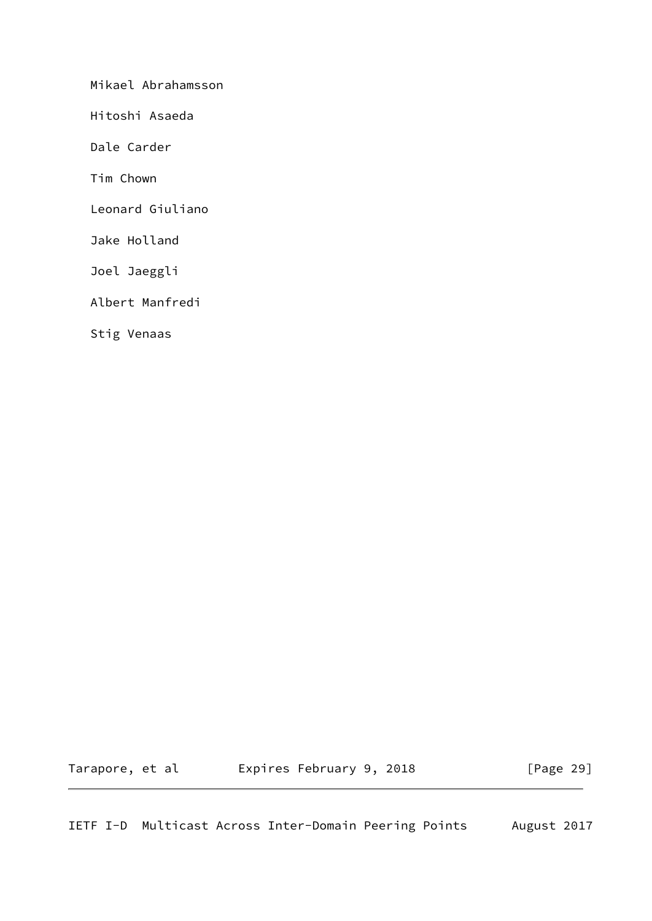Mikael Abrahamsson

Hitoshi Asaeda

Dale Carder

Tim Chown

Leonard Giuliano

Jake Holland

Joel Jaeggli

Albert Manfredi

Stig Venaas

Tarapore, et al  $E$ xpires February 9, 2018 [Page 29]

IETF I-D Multicast Across Inter-Domain Peering Points August 2017